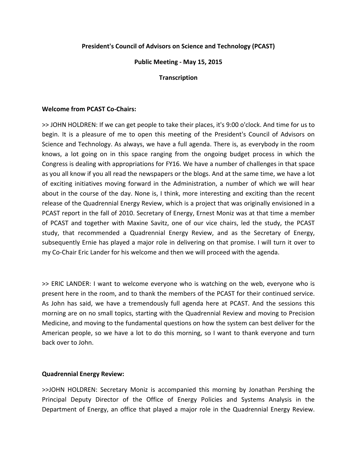# **President's Council of Advisors on Science and Technology (PCAST)**

## **Public Meeting ‐ May 15, 2015**

### **Transcription**

## **Welcome from PCAST Co‐Chairs:**

>> JOHN HOLDREN: If we can get people to take their places, it's 9:00 o'clock. And time for us to begin. It is a pleasure of me to open this meeting of the President's Council of Advisors on Science and Technology. As always, we have a full agenda. There is, as everybody in the room knows, a lot going on in this space ranging from the ongoing budget process in which the Congress is dealing with appropriations for FY16. We have a number of challenges in that space as you all know if you all read the newspapers or the blogs. And at the same time, we have a lot of exciting initiatives moving forward in the Administration, a number of which we will hear about in the course of the day. None is, I think, more interesting and exciting than the recent release of the Quadrennial Energy Review, which is a project that was originally envisioned in a PCAST report in the fall of 2010. Secretary of Energy, Ernest Moniz was at that time a member of PCAST and together with Maxine Savitz, one of our vice chairs, led the study, the PCAST study, that recommended a Quadrennial Energy Review, and as the Secretary of Energy, subsequently Ernie has played a major role in delivering on that promise. I will turn it over to my Co-Chair Eric Lander for his welcome and then we will proceed with the agenda.

>> ERIC LANDER: I want to welcome everyone who is watching on the web, everyone who is present here in the room, and to thank the members of the PCAST for their continued service. As John has said, we have a tremendously full agenda here at PCAST. And the sessions this morning are on no small topics, starting with the Quadrennial Review and moving to Precision Medicine, and moving to the fundamental questions on how the system can best deliver for the American people, so we have a lot to do this morning, so I want to thank everyone and turn back over to John.

# **Quadrennial Energy Review:**

>>JOHN HOLDREN: Secretary Moniz is accompanied this morning by Jonathan Pershing the Principal Deputy Director of the Office of Energy Policies and Systems Analysis in the Department of Energy, an office that played a major role in the Quadrennial Energy Review.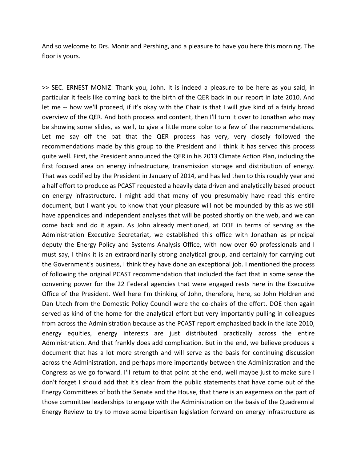And so welcome to Drs. Moniz and Pershing, and a pleasure to have you here this morning. The floor is yours.

>> SEC. ERNEST MONIZ: Thank you, John. It is indeed a pleasure to be here as you said, in particular it feels like coming back to the birth of the QER back in our report in late 2010. And let me -- how we'll proceed, if it's okay with the Chair is that I will give kind of a fairly broad overview of the QER. And both process and content, then I'll turn it over to Jonathan who may be showing some slides, as well, to give a little more color to a few of the recommendations. Let me say off the bat that the QER process has very, very closely followed the recommendations made by this group to the President and I think it has served this process quite well. First, the President announced the QER in his 2013 Climate Action Plan, including the first focused area on energy infrastructure, transmission storage and distribution of energy. That was codified by the President in January of 2014, and has led then to this roughly year and a half effort to produce as PCAST requested a heavily data driven and analytically based product on energy infrastructure. I might add that many of you presumably have read this entire document, but I want you to know that your pleasure will not be mounded by this as we still have appendices and independent analyses that will be posted shortly on the web, and we can come back and do it again. As John already mentioned, at DOE in terms of serving as the Administration Executive Secretariat, we established this office with Jonathan as principal deputy the Energy Policy and Systems Analysis Office, with now over 60 professionals and I must say, I think it is an extraordinarily strong analytical group, and certainly for carrying out the Government's business, I think they have done an exceptional job. I mentioned the process of following the original PCAST recommendation that included the fact that in some sense the convening power for the 22 Federal agencies that were engaged rests here in the Executive Office of the President. Well here I'm thinking of John, therefore, here, so John Holdren and Dan Utech from the Domestic Policy Council were the co-chairs of the effort. DOE then again served as kind of the home for the analytical effort but very importantly pulling in colleagues from across the Administration because as the PCAST report emphasized back in the late 2010, energy equities, energy interests are just distributed practically across the entire Administration. And that frankly does add complication. But in the end, we believe produces a document that has a lot more strength and will serve as the basis for continuing discussion across the Administration, and perhaps more importantly between the Administration and the Congress as we go forward. I'll return to that point at the end, well maybe just to make sure I don't forget I should add that it's clear from the public statements that have come out of the Energy Committees of both the Senate and the House, that there is an eagerness on the part of those committee leaderships to engage with the Administration on the basis of the Quadrennial Energy Review to try to move some bipartisan legislation forward on energy infrastructure as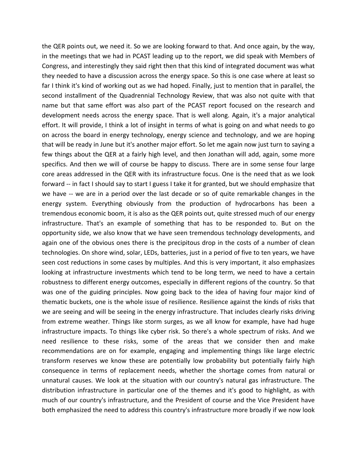the QER points out, we need it. So we are looking forward to that. And once again, by the way, in the meetings that we had in PCAST leading up to the report, we did speak with Members of Congress, and interestingly they said right then that this kind of integrated document was what they needed to have a discussion across the energy space. So this is one case where at least so far I think it's kind of working out as we had hoped. Finally, just to mention that in parallel, the second installment of the Quadrennial Technology Review, that was also not quite with that name but that same effort was also part of the PCAST report focused on the research and development needs across the energy space. That is well along. Again, it's a major analytical effort. It will provide, I think a lot of insight in terms of what is going on and what needs to go on across the board in energy technology, energy science and technology, and we are hoping that will be ready in June but it's another major effort. So let me again now just turn to saying a few things about the QER at a fairly high level, and then Jonathan will add, again, some more specifics. And then we will of course be happy to discuss. There are in some sense four large core areas addressed in the QER with its infrastructure focus. One is the need that as we look forward -- in fact I should say to start I guess I take it for granted, but we should emphasize that we have -- we are in a period over the last decade or so of quite remarkable changes in the energy system. Everything obviously from the production of hydrocarbons has been a tremendous economic boom, it is also as the QER points out, quite stressed much of our energy infrastructure. That's an example of something that has to be responded to. But on the opportunity side, we also know that we have seen tremendous technology developments, and again one of the obvious ones there is the precipitous drop in the costs of a number of clean technologies. On shore wind, solar, LEDs, batteries, just in a period of five to ten years, we have seen cost reductions in some cases by multiples. And this is very important, it also emphasizes looking at infrastructure investments which tend to be long term, we need to have a certain robustness to different energy outcomes, especially in different regions of the country. So that was one of the guiding principles. Now going back to the idea of having four major kind of thematic buckets, one is the whole issue of resilience. Resilience against the kinds of risks that we are seeing and will be seeing in the energy infrastructure. That includes clearly risks driving from extreme weather. Things like storm surges, as we all know for example, have had huge infrastructure impacts. To things like cyber risk. So there's a whole spectrum of risks. And we need resilience to these risks, some of the areas that we consider then and make recommendations are on for example, engaging and implementing things like large electric transform reserves we know these are potentially low probability but potentially fairly high consequence in terms of replacement needs, whether the shortage comes from natural or unnatural causes. We look at the situation with our country's natural gas infrastructure. The distribution infrastructure in particular one of the themes and it's good to highlight, as with much of our country's infrastructure, and the President of course and the Vice President have both emphasized the need to address this country's infrastructure more broadly if we now look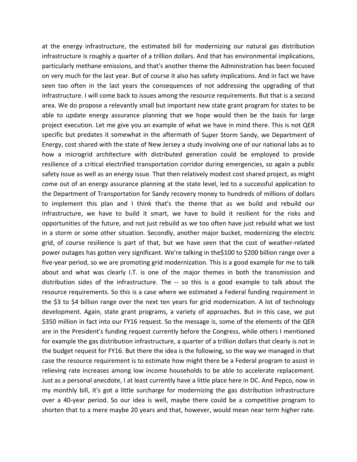at the energy infrastructure, the estimated bill for modernizing our natural gas distribution infrastructure is roughly a quarter of a trillion dollars. And that has environmental implications, particularly methane emissions, and that's another theme the Administration has been focused on very much for the last year. But of course it also has safety implications. And in fact we have seen too often in the last years the consequences of not addressing the upgrading of that infrastructure. I will come back to issues among the resource requirements. But that is a second area. We do propose a relevantly small but important new state grant program for states to be able to update energy assurance planning that we hope would then be the basis for large project execution. Let me give you an example of what we have in mind there. This is not QER specific but predates it somewhat in the aftermath of Super Storm Sandy, we Department of Energy, cost shared with the state of New Jersey a study involving one of our national labs as to how a microgrid architecture with distributed generation could be employed to provide resilience of a critical electrified transportation corridor during emergencies, so again a public safety issue as well as an energy issue. That then relatively modest cost shared project, as might come out of an energy assurance planning at the state level, led to a successful application to the Department of Transportation for Sandy recovery money to hundreds of millions of dollars to implement this plan and I think that's the theme that as we build and rebuild our infrastructure, we have to build it smart, we have to build it resilient for the risks and opportunities of the future, and not just rebuild as we too often have just rebuild what we lost in a storm or some other situation. Secondly, another major bucket, modernizing the electric grid, of course resilience is part of that, but we have seen that the cost of weather‐related power outages has gotten very significant. We're talking in the\$100 to \$200 billion range over a five‐year period, so we are promoting grid modernization. This is a good example for me to talk about and what was clearly I.T. is one of the major themes in both the transmission and distribution sides of the infrastructure. The -- so this is a good example to talk about the resource requirements. So this is a case where we estimated a Federal funding requirement in the \$3 to \$4 billion range over the next ten years for grid modernization. A lot of technology development. Again, state grant programs, a variety of approaches. But in this case, we put \$350 million in fact into our FY16 request. So the message is, some of the elements of the QER are in the President's funding request currently before the Congress, while others I mentioned for example the gas distribution infrastructure, a quarter of a trillion dollars that clearly is not in the budget request for FY16. But there the idea is the following, so the way we managed in that case the resource requirement is to estimate how might there be a Federal program to assist in relieving rate increases among low income households to be able to accelerate replacement. Just as a personal anecdote, I at least currently have a little place here in DC. And Pepco, now in my monthly bill, it's got a little surcharge for modernizing the gas distribution infrastructure over a 40‐year period. So our idea is well, maybe there could be a competitive program to shorten that to a mere maybe 20 years and that, however, would mean near term higher rate.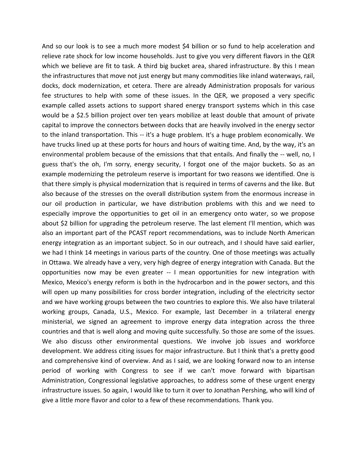And so our look is to see a much more modest \$4 billion or so fund to help acceleration and relieve rate shock for low income households. Just to give you very different flavors in the QER which we believe are fit to task. A third big bucket area, shared infrastructure. By this I mean the infrastructures that move not just energy but many commodities like inland waterways, rail, docks, dock modernization, et cetera. There are already Administration proposals for various fee structures to help with some of these issues. In the QER, we proposed a very specific example called assets actions to support shared energy transport systems which in this case would be a \$2.5 billion project over ten years mobilize at least double that amount of private capital to improve the connectors between docks that are heavily involved in the energy sector to the inland transportation. This ‐‐ it's a huge problem. It's a huge problem economically. We have trucks lined up at these ports for hours and hours of waiting time. And, by the way, it's an environmental problem because of the emissions that that entails. And finally the -- well, no, I guess that's the oh, I'm sorry, energy security, I forgot one of the major buckets. So as an example modernizing the petroleum reserve is important for two reasons we identified. One is that there simply is physical modernization that is required in terms of caverns and the like. But also because of the stresses on the overall distribution system from the enormous increase in our oil production in particular, we have distribution problems with this and we need to especially improve the opportunities to get oil in an emergency onto water, so we propose about \$2 billion for upgrading the petroleum reserve. The last element I'll mention, which was also an important part of the PCAST report recommendations, was to include North American energy integration as an important subject. So in our outreach, and I should have said earlier, we had I think 14 meetings in various parts of the country. One of those meetings was actually in Ottawa. We already have a very, very high degree of energy integration with Canada. But the opportunities now may be even greater -- I mean opportunities for new integration with Mexico, Mexico's energy reform is both in the hydrocarbon and in the power sectors, and this will open up many possibilities for cross border integration, including of the electricity sector and we have working groups between the two countries to explore this. We also have trilateral working groups, Canada, U.S., Mexico. For example, last December in a trilateral energy ministerial, we signed an agreement to improve energy data integration across the three countries and that is well along and moving quite successfully. So those are some of the issues. We also discuss other environmental questions. We involve job issues and workforce development. We address citing issues for major infrastructure. But I think that's a pretty good and comprehensive kind of overview. And as I said, we are looking forward now to an intense period of working with Congress to see if we can't move forward with bipartisan Administration, Congressional legislative approaches, to address some of these urgent energy infrastructure issues. So again, I would like to turn it over to Jonathan Pershing, who will kind of give a little more flavor and color to a few of these recommendations. Thank you.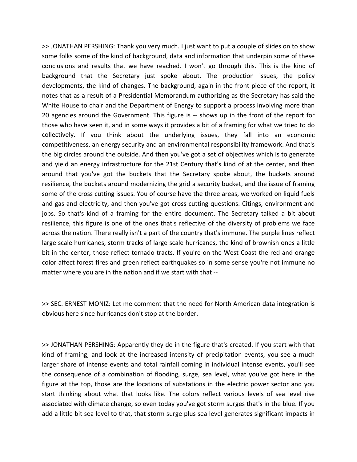>> JONATHAN PERSHING: Thank you very much. I just want to put a couple of slides on to show some folks some of the kind of background, data and information that underpin some of these conclusions and results that we have reached. I won't go through this. This is the kind of background that the Secretary just spoke about. The production issues, the policy developments, the kind of changes. The background, again in the front piece of the report, it notes that as a result of a Presidential Memorandum authorizing as the Secretary has said the White House to chair and the Department of Energy to support a process involving more than 20 agencies around the Government. This figure is ‐‐ shows up in the front of the report for those who have seen it, and in some ways it provides a bit of a framing for what we tried to do collectively. If you think about the underlying issues, they fall into an economic competitiveness, an energy security and an environmental responsibility framework. And that's the big circles around the outside. And then you've got a set of objectives which is to generate and yield an energy infrastructure for the 21st Century that's kind of at the center, and then around that you've got the buckets that the Secretary spoke about, the buckets around resilience, the buckets around modernizing the grid a security bucket, and the issue of framing some of the cross cutting issues. You of course have the three areas, we worked on liquid fuels and gas and electricity, and then you've got cross cutting questions. Citings, environment and jobs. So that's kind of a framing for the entire document. The Secretary talked a bit about resilience, this figure is one of the ones that's reflective of the diversity of problems we face across the nation. There really isn't a part of the country that's immune. The purple lines reflect large scale hurricanes, storm tracks of large scale hurricanes, the kind of brownish ones a little bit in the center, those reflect tornado tracts. If you're on the West Coast the red and orange color affect forest fires and green reflect earthquakes so in some sense you're not immune no matter where you are in the nation and if we start with that ‐‐

>> SEC. ERNEST MONIZ: Let me comment that the need for North American data integration is obvious here since hurricanes don't stop at the border.

>> JONATHAN PERSHING: Apparently they do in the figure that's created. If you start with that kind of framing, and look at the increased intensity of precipitation events, you see a much larger share of intense events and total rainfall coming in individual intense events, you'll see the consequence of a combination of flooding, surge, sea level, what you've got here in the figure at the top, those are the locations of substations in the electric power sector and you start thinking about what that looks like. The colors reflect various levels of sea level rise associated with climate change, so even today you've got storm surges that's in the blue. If you add a little bit sea level to that, that storm surge plus sea level generates significant impacts in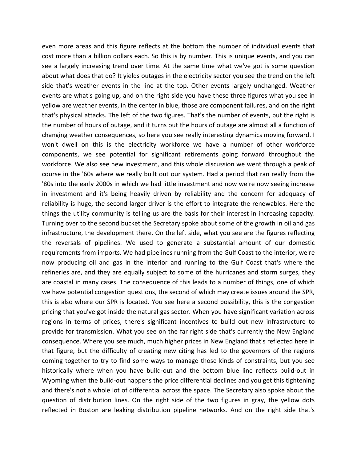even more areas and this figure reflects at the bottom the number of individual events that cost more than a billion dollars each. So this is by number. This is unique events, and you can see a largely increasing trend over time. At the same time what we've got is some question about what does that do? It yields outages in the electricity sector you see the trend on the left side that's weather events in the line at the top. Other events largely unchanged. Weather events are what's going up, and on the right side you have these three figures what you see in yellow are weather events, in the center in blue, those are component failures, and on the right that's physical attacks. The left of the two figures. That's the number of events, but the right is the number of hours of outage, and it turns out the hours of outage are almost all a function of changing weather consequences, so here you see really interesting dynamics moving forward. I won't dwell on this is the electricity workforce we have a number of other workforce components, we see potential for significant retirements going forward throughout the workforce. We also see new investment, and this whole discussion we went through a peak of course in the '60s where we really built out our system. Had a period that ran really from the '80s into the early 2000s in which we had little investment and now we're now seeing increase in investment and it's being heavily driven by reliability and the concern for adequacy of reliability is huge, the second larger driver is the effort to integrate the renewables. Here the things the utility community is telling us are the basis for their interest in increasing capacity. Turning over to the second bucket the Secretary spoke about some of the growth in oil and gas infrastructure, the development there. On the left side, what you see are the figures reflecting the reversals of pipelines. We used to generate a substantial amount of our domestic requirements from imports. We had pipelines running from the Gulf Coast to the interior, we're now producing oil and gas in the interior and running to the Gulf Coast that's where the refineries are, and they are equally subject to some of the hurricanes and storm surges, they are coastal in many cases. The consequence of this leads to a number of things, one of which we have potential congestion questions, the second of which may create issues around the SPR, this is also where our SPR is located. You see here a second possibility, this is the congestion pricing that you've got inside the natural gas sector. When you have significant variation across regions in terms of prices, there's significant incentives to build out new infrastructure to provide for transmission. What you see on the far right side that's currently the New England consequence. Where you see much, much higher prices in New England that's reflected here in that figure, but the difficulty of creating new citing has led to the governors of the regions coming together to try to find some ways to manage those kinds of constraints, but you see historically where when you have build-out and the bottom blue line reflects build-out in Wyoming when the build-out happens the price differential declines and you get this tightening and there's not a whole lot of differential across the space. The Secretary also spoke about the question of distribution lines. On the right side of the two figures in gray, the yellow dots reflected in Boston are leaking distribution pipeline networks. And on the right side that's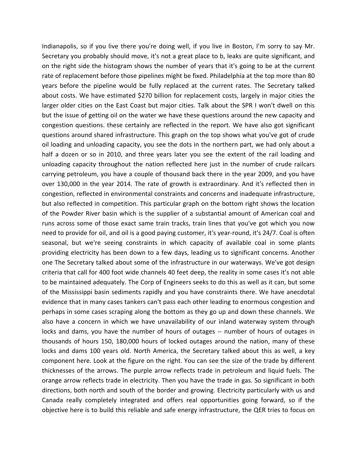Indianapolis, so if you live there you're doing well, if you live in Boston, I'm sorry to say Mr. Secretary you probably should move, it's not a great place to b, leaks are quite significant, and on the right side the histogram shows the number of years that it's going to be at the current rate of replacement before those pipelines might be fixed. Philadelphia at the top more than 80 years before the pipeline would be fully replaced at the current rates. The Secretary talked about costs. We have estimated \$270 billion for replacement costs, largely in major cities the larger older cities on the East Coast but major cities. Talk about the SPR I won't dwell on this but the issue of getting oil on the water we have these questions around the new capacity and congestion questions. these certainly are reflected in the report. We have also got significant questions around shared infrastructure. This graph on the top shows what you've got of crude oil loading and unloading capacity, you see the dots in the northern part, we had only about a half a dozen or so in 2010, and three years later you see the extent of the rail loading and unloading capacity throughout the nation reflected here just in the number of crude railcars carrying petroleum, you have a couple of thousand back there in the year 2009, and you have over 130,000 in the year 2014. The rate of growth is extraordinary. And it's reflected then in congestion, reflected in environmental constraints and concerns and inadequate infrastructure, but also reflected in competition. This particular graph on the bottom right shows the location of the Powder River basin which is the supplier of a substantial amount of American coal and runs across some of those exact same train tracks, train lines that you've got which you now need to provide for oil, and oil is a good paying customer, it's year-round, it's 24/7. Coal is often seasonal, but we're seeing constraints in which capacity of available coal in some plants providing electricity has been down to a few days, leading us to significant concerns. Another one The Secretary talked about some of the infrastructure in our waterways. We've got design criteria that call for 400 foot wide channels 40 feet deep, the reality in some cases it's not able to be maintained adequately. The Corp of Engineers seeks to do this as well as it can, but some of the Mississippi basin sediments rapidly and you have constraints there. We have anecdotal evidence that in many cases tankers can't pass each other leading to enormous congestion and perhaps in some cases scraping along the bottom as they go up and down these channels. We also have a concern in which we have unavailability of our inland waterway system through locks and dams, you have the number of hours of outages -- number of hours of outages in thousands of hours 150, 180,000 hours of locked outages around the nation, many of these locks and dams 100 years old. North America, the Secretary talked about this as well, a key component here. Look at the figure on the right. You can see the size of the trade by different thicknesses of the arrows. The purple arrow reflects trade in petroleum and liquid fuels. The orange arrow reflects trade in electricity. Then you have the trade in gas. So significant in both directions, both north and south of the border and growing. Electricity particularly with us and Canada really completely integrated and offers real opportunities going forward, so if the objective here is to build this reliable and safe energy infrastructure, the QER tries to focus on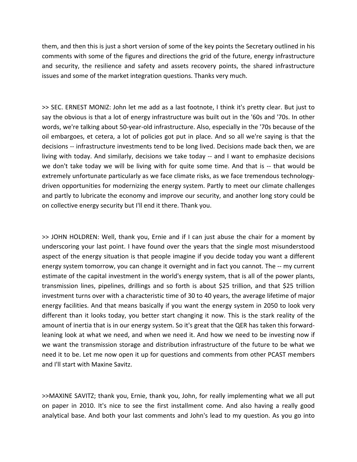them, and then this is just a short version of some of the key points the Secretary outlined in his comments with some of the figures and directions the grid of the future, energy infrastructure and security, the resilience and safety and assets recovery points, the shared infrastructure issues and some of the market integration questions. Thanks very much.

>> SEC. ERNEST MONIZ: John let me add as a last footnote, I think it's pretty clear. But just to say the obvious is that a lot of energy infrastructure was built out in the '60s and '70s. In other words, we're talking about 50‐year‐old infrastructure. Also, especially in the '70s because of the oil embargoes, et cetera, a lot of policies got put in place. And so all we're saying is that the decisions ‐‐ infrastructure investments tend to be long lived. Decisions made back then, we are living with today. And similarly, decisions we take today -- and I want to emphasize decisions we don't take today we will be living with for quite some time. And that is -- that would be extremely unfortunate particularly as we face climate risks, as we face tremendous technologydriven opportunities for modernizing the energy system. Partly to meet our climate challenges and partly to lubricate the economy and improve our security, and another long story could be on collective energy security but I'll end it there. Thank you.

>> JOHN HOLDREN: Well, thank you, Ernie and if I can just abuse the chair for a moment by underscoring your last point. I have found over the years that the single most misunderstood aspect of the energy situation is that people imagine if you decide today you want a different energy system tomorrow, you can change it overnight and in fact you cannot. The -- my current estimate of the capital investment in the world's energy system, that is all of the power plants, transmission lines, pipelines, drillings and so forth is about \$25 trillion, and that \$25 trillion investment turns over with a characteristic time of 30 to 40 years, the average lifetime of major energy facilities. And that means basically if you want the energy system in 2050 to look very different than it looks today, you better start changing it now. This is the stark reality of the amount of inertia that is in our energy system. So it's great that the QER has taken this forwardleaning look at what we need, and when we need it. And how we need to be investing now if we want the transmission storage and distribution infrastructure of the future to be what we need it to be. Let me now open it up for questions and comments from other PCAST members and I'll start with Maxine Savitz.

>>MAXINE SAVITZ; thank you, Ernie, thank you, John, for really implementing what we all put on paper in 2010. It's nice to see the first installment come. And also having a really good analytical base. And both your last comments and John's lead to my question. As you go into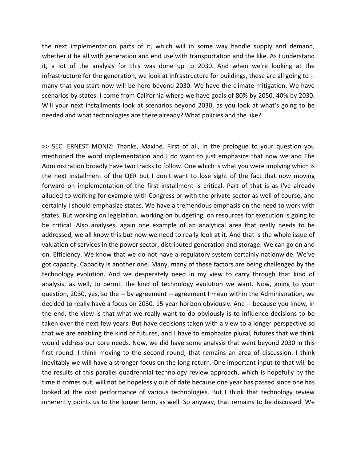the next implementation parts of it, which will in some way handle supply and demand, whether it be all with generation and end use with transportation and the like. As I understand it, a lot of the analysis for this was done up to 2030. And when we're looking at the infrastructure for the generation, we look at infrastructure for buildings, these are all going to ‐‐ many that you start now will be here beyond 2030. We have the climate mitigation. We have scenarios by states. I come from California where we have goals of 80% by 2050, 40% by 2030. Will your next installments look at scenarios beyond 2030, as you look at what's going to be needed and what technologies are there already? What policies and the like?

>> SEC. ERNEST MONIZ: Thanks, Maxine. First of all, in the prologue to your question you mentioned the word implementation and I do want to just emphasize that now we and The Administration broadly have two tracks to follow. One which is what you were implying which is the next installment of the QER but I don't want to lose sight of the fact that now moving forward on implementation of the first installment is critical. Part of that is as I've already alluded to working for example with Congress or with the private sector as well of course, and certainly I should emphasize states. We have a tremendous emphasis on the need to work with states. But working on legislation, working on budgeting, on resources for execution is going to be critical. Also analyses, again one example of an analytical area that really needs to be addressed, we all know this but now we need to really look at it. And that is the whole issue of valuation of services in the power sector, distributed generation and storage. We can go on and on. Efficiency. We know that we do not have a regulatory system certainly nationwide. We've got capacity. Capacity is another one. Many, many of these factors are being challenged by the technology evolution. And we desperately need in my view to carry through that kind of analysis, as well, to permit the kind of technology evolution we want. Now, going to your question, 2030, yes, so the ‐‐ by agreement ‐‐ agreement I mean within the Administration, we decided to really have a focus on 2030. 15‐year horizon obviously. And ‐‐ because you know, in the end, the view is that what we really want to do obviously is to influence decisions to be taken over the next few years. But have decisions taken with a view to a longer perspective so that we are enabling the kind of futures, and I have to emphasize plural, futures that we think would address our core needs. Now, we did have some analysis that went beyond 2030 in this first round. I think moving to the second round, that remains an area of discussion. I think inevitably we will have a stronger focus on the long return. One important input to that will be the results of this parallel quadrennial technology review approach, which is hopefully by the time it comes out, will not be hopelessly out of date because one year has passed since one has looked at the cost performance of various technologies. But I think that technology review inherently points us to the longer term, as well. So anyway, that remains to be discussed. We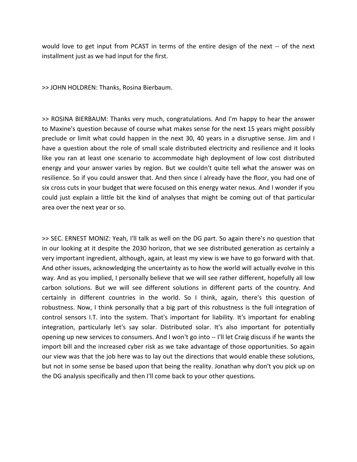would love to get input from PCAST in terms of the entire design of the next -- of the next installment just as we had input for the first.

>> JOHN HOLDREN: Thanks, Rosina Bierbaum.

>> ROSINA BIERBAUM: Thanks very much, congratulations. And I'm happy to hear the answer to Maxine's question because of course what makes sense for the next 15 years might possibly preclude or limit what could happen in the next 30, 40 years in a disruptive sense. Jim and I have a question about the role of small scale distributed electricity and resilience and it looks like you ran at least one scenario to accommodate high deployment of low cost distributed energy and your answer varies by region. But we couldn't quite tell what the answer was on resilience. So if you could answer that. And then since I already have the floor, you had one of six cross cuts in your budget that were focused on this energy water nexus. And I wonder if you could just explain a little bit the kind of analyses that might be coming out of that particular area over the next year or so.

>> SEC. ERNEST MONIZ: Yeah, I'll talk as well on the DG part. So again there's no question that in our looking at it despite the 2030 horizon, that we see distributed generation as certainly a very important ingredient, although, again, at least my view is we have to go forward with that. And other issues, acknowledging the uncertainty as to how the world will actually evolve in this way. And as you implied, I personally believe that we will see rather different, hopefully all low carbon solutions. But we will see different solutions in different parts of the country. And certainly in different countries in the world. So I think, again, there's this question of robustness. Now, I think personally that a big part of this robustness is the full integration of control sensors I.T. into the system. That's important for liability. It's important for enabling integration, particularly let's say solar. Distributed solar. It's also important for potentially opening up new services to consumers. And I won't go into ‐‐ I'll let Craig discuss if he wants the import bill and the increased cyber risk as we take advantage of those opportunities. So again our view was that the job here was to lay out the directions that would enable these solutions, but not in some sense be based upon that being the reality. Jonathan why don't you pick up on the DG analysis specifically and then I'll come back to your other questions.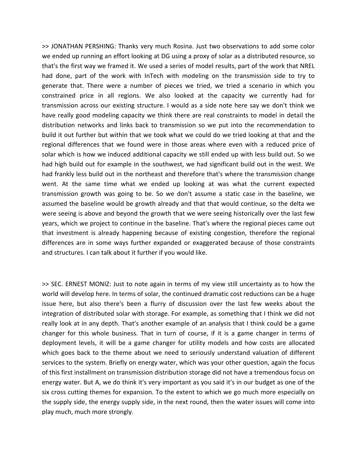>> JONATHAN PERSHING: Thanks very much Rosina. Just two observations to add some color we ended up running an effort looking at DG using a proxy of solar as a distributed resource, so that's the first way we framed it. We used a series of model results, part of the work that NREL had done, part of the work with InTech with modeling on the transmission side to try to generate that. There were a number of pieces we tried, we tried a scenario in which you constrained price in all regions. We also looked at the capacity we currently had for transmission across our existing structure. I would as a side note here say we don't think we have really good modeling capacity we think there are real constraints to model in detail the distribution networks and links back to transmission so we put into the recommendation to build it out further but within that we took what we could do we tried looking at that and the regional differences that we found were in those areas where even with a reduced price of solar which is how we induced additional capacity we still ended up with less build out. So we had high build out for example in the southwest, we had significant build out in the west. We had frankly less build out in the northeast and therefore that's where the transmission change went. At the same time what we ended up looking at was what the current expected transmission growth was going to be. So we don't assume a static case in the baseline, we assumed the baseline would be growth already and that that would continue, so the delta we were seeing is above and beyond the growth that we were seeing historically over the last few years, which we project to continue in the baseline. That's where the regional pieces came out that investment is already happening because of existing congestion, therefore the regional differences are in some ways further expanded or exaggerated because of those constraints and structures. I can talk about it further if you would like.

>> SEC. ERNEST MONIZ: Just to note again in terms of my view still uncertainty as to how the world will develop here. In terms of solar, the continued dramatic cost reductions can be a huge issue here, but also there's been a flurry of discussion over the last few weeks about the integration of distributed solar with storage. For example, as something that I think we did not really look at in any depth. That's another example of an analysis that I think could be a game changer for this whole business. That in turn of course, if it is a game changer in terms of deployment levels, it will be a game changer for utility models and how costs are allocated which goes back to the theme about we need to seriously understand valuation of different services to the system. Briefly on energy water, which was your other question, again the focus of this first installment on transmission distribution storage did not have a tremendous focus on energy water. But A, we do think it's very important as you said it's in our budget as one of the six cross cutting themes for expansion. To the extent to which we go much more especially on the supply side, the energy supply side, in the next round, then the water issues will come into play much, much more strongly.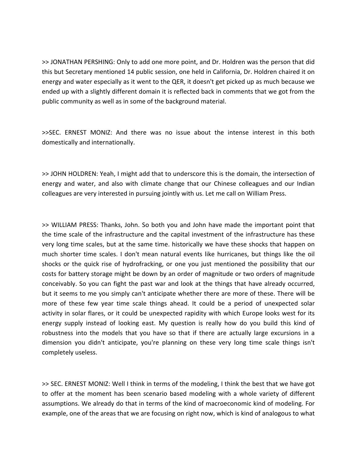>> JONATHAN PERSHING: Only to add one more point, and Dr. Holdren was the person that did this but Secretary mentioned 14 public session, one held in California, Dr. Holdren chaired it on energy and water especially as it went to the QER, it doesn't get picked up as much because we ended up with a slightly different domain it is reflected back in comments that we got from the public community as well as in some of the background material.

>>SEC. ERNEST MONIZ: And there was no issue about the intense interest in this both domestically and internationally.

>> JOHN HOLDREN: Yeah, I might add that to underscore this is the domain, the intersection of energy and water, and also with climate change that our Chinese colleagues and our Indian colleagues are very interested in pursuing jointly with us. Let me call on William Press.

>> WILLIAM PRESS: Thanks, John. So both you and John have made the important point that the time scale of the infrastructure and the capital investment of the infrastructure has these very long time scales, but at the same time. historically we have these shocks that happen on much shorter time scales. I don't mean natural events like hurricanes, but things like the oil shocks or the quick rise of hydrofracking, or one you just mentioned the possibility that our costs for battery storage might be down by an order of magnitude or two orders of magnitude conceivably. So you can fight the past war and look at the things that have already occurred, but it seems to me you simply can't anticipate whether there are more of these. There will be more of these few year time scale things ahead. It could be a period of unexpected solar activity in solar flares, or it could be unexpected rapidity with which Europe looks west for its energy supply instead of looking east. My question is really how do you build this kind of robustness into the models that you have so that if there are actually large excursions in a dimension you didn't anticipate, you're planning on these very long time scale things isn't completely useless.

>> SEC. ERNEST MONIZ: Well I think in terms of the modeling, I think the best that we have got to offer at the moment has been scenario based modeling with a whole variety of different assumptions. We already do that in terms of the kind of macroeconomic kind of modeling. For example, one of the areas that we are focusing on right now, which is kind of analogous to what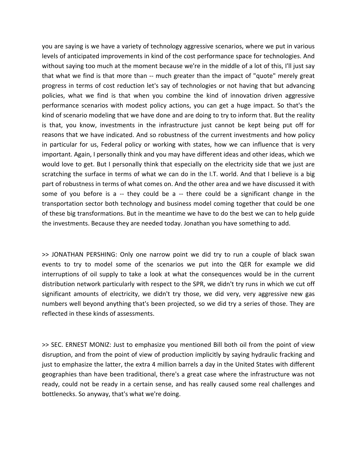you are saying is we have a variety of technology aggressive scenarios, where we put in various levels of anticipated improvements in kind of the cost performance space for technologies. And without saying too much at the moment because we're in the middle of a lot of this, I'll just say that what we find is that more than ‐‐ much greater than the impact of "quote" merely great progress in terms of cost reduction let's say of technologies or not having that but advancing policies, what we find is that when you combine the kind of innovation driven aggressive performance scenarios with modest policy actions, you can get a huge impact. So that's the kind of scenario modeling that we have done and are doing to try to inform that. But the reality is that, you know, investments in the infrastructure just cannot be kept being put off for reasons that we have indicated. And so robustness of the current investments and how policy in particular for us, Federal policy or working with states, how we can influence that is very important. Again, I personally think and you may have different ideas and other ideas, which we would love to get. But I personally think that especially on the electricity side that we just are scratching the surface in terms of what we can do in the I.T. world. And that I believe is a big part of robustness in terms of what comes on. And the other area and we have discussed it with some of you before is a  $-$  they could be a  $-$  there could be a significant change in the transportation sector both technology and business model coming together that could be one of these big transformations. But in the meantime we have to do the best we can to help guide the investments. Because they are needed today. Jonathan you have something to add.

>> JONATHAN PERSHING: Only one narrow point we did try to run a couple of black swan events to try to model some of the scenarios we put into the QER for example we did interruptions of oil supply to take a look at what the consequences would be in the current distribution network particularly with respect to the SPR, we didn't try runs in which we cut off significant amounts of electricity, we didn't try those, we did very, very aggressive new gas numbers well beyond anything that's been projected, so we did try a series of those. They are reflected in these kinds of assessments.

>> SEC. ERNEST MONIZ: Just to emphasize you mentioned Bill both oil from the point of view disruption, and from the point of view of production implicitly by saying hydraulic fracking and just to emphasize the latter, the extra 4 million barrels a day in the United States with different geographies than have been traditional, there's a great case where the infrastructure was not ready, could not be ready in a certain sense, and has really caused some real challenges and bottlenecks. So anyway, that's what we're doing.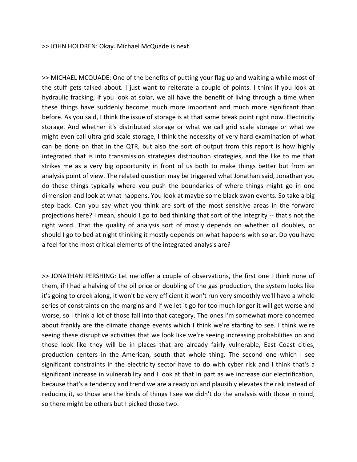>> JOHN HOLDREN: Okay. Michael McQuade is next.

>> MICHAEL MCQUADE: One of the benefits of putting your flag up and waiting a while most of the stuff gets talked about. I just want to reiterate a couple of points. I think if you look at hydraulic fracking, if you look at solar, we all have the benefit of living through a time when these things have suddenly become much more important and much more significant than before. As you said, I think the issue of storage is at that same break point right now. Electricity storage. And whether it's distributed storage or what we call grid scale storage or what we might even call ultra grid scale storage, I think the necessity of very hard examination of what can be done on that in the QTR, but also the sort of output from this report is how highly integrated that is into transmission strategies distribution strategies, and the like to me that strikes me as a very big opportunity in front of us both to make things better but from an analysis point of view. The related question may be triggered what Jonathan said, Jonathan you do these things typically where you push the boundaries of where things might go in one dimension and look at what happens. You look at maybe some black swan events. So take a big step back. Can you say what you think are sort of the most sensitive areas in the forward projections here? I mean, should I go to bed thinking that sort of the integrity ‐‐ that's not the right word. That the quality of analysis sort of mostly depends on whether oil doubles, or should I go to bed at night thinking it mostly depends on what happens with solar. Do you have a feel for the most critical elements of the integrated analysis are?

>> JONATHAN PERSHING: Let me offer a couple of observations, the first one I think none of them, if I had a halving of the oil price or doubling of the gas production, the system looks like it's going to creek along, it won't be very efficient it won't run very smoothly we'll have a whole series of constraints on the margins and if we let it go for too much longer it will get worse and worse, so I think a lot of those fall into that category. The ones I'm somewhat more concerned about frankly are the climate change events which I think we're starting to see. I think we're seeing these disruptive activities that we look like we're seeing increasing probabilities on and those look like they will be in places that are already fairly vulnerable, East Coast cities, production centers in the American, south that whole thing. The second one which I see significant constraints in the electricity sector have to do with cyber risk and I think that's a significant increase in vulnerability and I look at that in part as we increase our electrification, because that's a tendency and trend we are already on and plausibly elevates the risk instead of reducing it, so those are the kinds of things I see we didn't do the analysis with those in mind, so there might be others but I picked those two.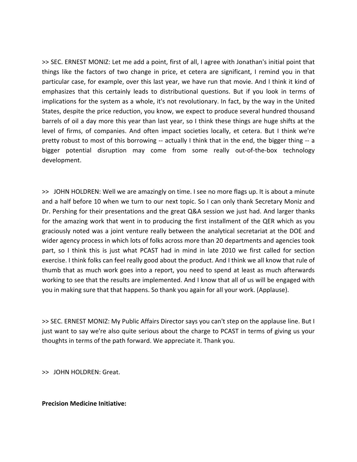>> SEC. ERNEST MONIZ: Let me add a point, first of all, I agree with Jonathan's initial point that things like the factors of two change in price, et cetera are significant, I remind you in that particular case, for example, over this last year, we have run that movie. And I think it kind of emphasizes that this certainly leads to distributional questions. But if you look in terms of implications for the system as a whole, it's not revolutionary. In fact, by the way in the United States, despite the price reduction, you know, we expect to produce several hundred thousand barrels of oil a day more this year than last year, so I think these things are huge shifts at the level of firms, of companies. And often impact societies locally, et cetera. But I think we're pretty robust to most of this borrowing -- actually I think that in the end, the bigger thing -- a bigger potential disruption may come from some really out-of-the-box technology development.

>> JOHN HOLDREN: Well we are amazingly on time. I see no more flags up. It is about a minute and a half before 10 when we turn to our next topic. So I can only thank Secretary Moniz and Dr. Pershing for their presentations and the great Q&A session we just had. And larger thanks for the amazing work that went in to producing the first installment of the QER which as you graciously noted was a joint venture really between the analytical secretariat at the DOE and wider agency process in which lots of folks across more than 20 departments and agencies took part, so I think this is just what PCAST had in mind in late 2010 we first called for section exercise. I think folks can feel really good about the product. And I think we all know that rule of thumb that as much work goes into a report, you need to spend at least as much afterwards working to see that the results are implemented. And I know that all of us will be engaged with you in making sure that that happens. So thank you again for all your work. (Applause).

>> SEC. ERNEST MONIZ: My Public Affairs Director says you can't step on the applause line. But I just want to say we're also quite serious about the charge to PCAST in terms of giving us your thoughts in terms of the path forward. We appreciate it. Thank you.

>> JOHN HOLDREN: Great.

# **Precision Medicine Initiative:**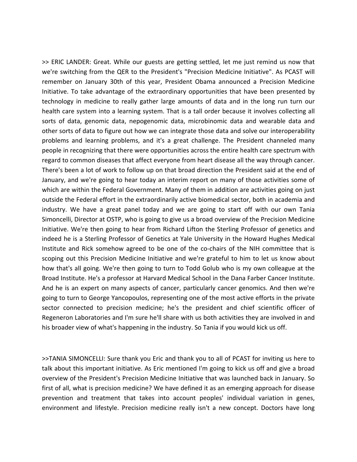>> ERIC LANDER: Great. While our guests are getting settled, let me just remind us now that we're switching from the QER to the President's "Precision Medicine Initiative". As PCAST will remember on January 30th of this year, President Obama announced a Precision Medicine Initiative. To take advantage of the extraordinary opportunities that have been presented by technology in medicine to really gather large amounts of data and in the long run turn our health care system into a learning system. That is a tall order because it involves collecting all sorts of data, genomic data, nepogenomic data, microbinomic data and wearable data and other sorts of data to figure out how we can integrate those data and solve our interoperability problems and learning problems, and it's a great challenge. The President channeled many people in recognizing that there were opportunities across the entire health care spectrum with regard to common diseases that affect everyone from heart disease all the way through cancer. There's been a lot of work to follow up on that broad direction the President said at the end of January, and we're going to hear today an interim report on many of those activities some of which are within the Federal Government. Many of them in addition are activities going on just outside the Federal effort in the extraordinarily active biomedical sector, both in academia and industry. We have a great panel today and we are going to start off with our own Tania Simoncelli, Director at OSTP, who is going to give us a broad overview of the Precision Medicine Initiative. We're then going to hear from Richard Lifton the Sterling Professor of genetics and indeed he is a Sterling Professor of Genetics at Yale University in the Howard Hughes Medical Institute and Rick somehow agreed to be one of the co-chairs of the NIH committee that is scoping out this Precision Medicine Initiative and we're grateful to him to let us know about how that's all going. We're then going to turn to Todd Golub who is my own colleague at the Broad Institute. He's a professor at Harvard Medical School in the Dana Farber Cancer Institute. And he is an expert on many aspects of cancer, particularly cancer genomics. And then we're going to turn to George Yancopoulos, representing one of the most active efforts in the private sector connected to precision medicine; he's the president and chief scientific officer of Regeneron Laboratories and I'm sure he'll share with us both activities they are involved in and his broader view of what's happening in the industry. So Tania if you would kick us off.

>>TANIA SIMONCELLI: Sure thank you Eric and thank you to all of PCAST for inviting us here to talk about this important initiative. As Eric mentioned I'm going to kick us off and give a broad overview of the President's Precision Medicine Initiative that was launched back in January. So first of all, what is precision medicine? We have defined it as an emerging approach for disease prevention and treatment that takes into account peoples' individual variation in genes, environment and lifestyle. Precision medicine really isn't a new concept. Doctors have long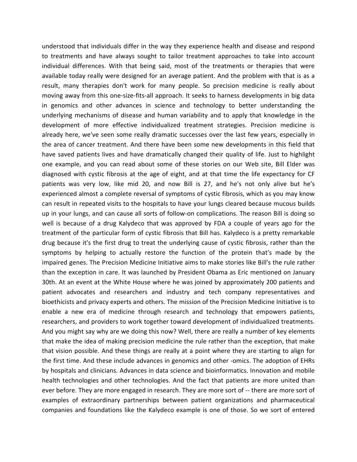understood that individuals differ in the way they experience health and disease and respond to treatments and have always sought to tailor treatment approaches to take into account individual differences. With that being said, most of the treatments or therapies that were available today really were designed for an average patient. And the problem with that is as a result, many therapies don't work for many people. So precision medicine is really about moving away from this one-size-fits-all approach. It seeks to harness developments in big data in genomics and other advances in science and technology to better understanding the underlying mechanisms of disease and human variability and to apply that knowledge in the development of more effective individualized treatment strategies. Precision medicine is already here, we've seen some really dramatic successes over the last few years, especially in the area of cancer treatment. And there have been some new developments in this field that have saved patients lives and have dramatically changed their quality of life. Just to highlight one example, and you can read about some of these stories on our Web site, Bill Elder was diagnosed with cystic fibrosis at the age of eight, and at that time the life expectancy for CF patients was very low, like mid 20, and now Bill is 27, and he's not only alive but he's experienced almost a complete reversal of symptoms of cystic fibrosis, which as you may know can result in repeated visits to the hospitals to have your lungs cleared because mucous builds up in your lungs, and can cause all sorts of follow‐on complications. The reason Bill is doing so well is because of a drug Kalydeco that was approved by FDA a couple of years ago for the treatment of the particular form of cystic fibrosis that Bill has. Kalydeco is a pretty remarkable drug because it's the first drug to treat the underlying cause of cystic fibrosis, rather than the symptoms by helping to actually restore the function of the protein that's made by the impaired genes. The Precision Medicine Initiative aims to make stories like Bill's the rule rather than the exception in care. It was launched by President Obama as Eric mentioned on January 30th. At an event at the White House where he was joined by approximately 200 patients and patient advocates and researchers and industry and tech company representatives and bioethicists and privacy experts and others. The mission of the Precision Medicine Initiative is to enable a new era of medicine through research and technology that empowers patients, researchers, and providers to work together toward development of individualized treatments. And you might say why are we doing this now? Well, there are really a number of key elements that make the idea of making precision medicine the rule rather than the exception, that make that vision possible. And these things are really at a point where they are starting to align for the first time. And these include advances in genomics and other ‐omics. The adoption of EHRs by hospitals and clinicians. Advances in data science and bioinformatics. Innovation and mobile health technologies and other technologies. And the fact that patients are more united than ever before. They are more engaged in research. They are more sort of ‐‐ there are more sort of examples of extraordinary partnerships between patient organizations and pharmaceutical companies and foundations like the Kalydeco example is one of those. So we sort of entered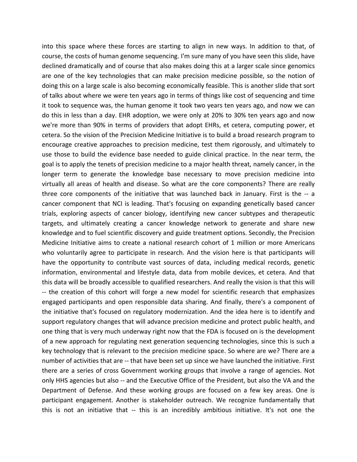into this space where these forces are starting to align in new ways. In addition to that, of course, the costs of human genome sequencing. I'm sure many of you have seen this slide, have declined dramatically and of course that also makes doing this at a larger scale since genomics are one of the key technologies that can make precision medicine possible, so the notion of doing this on a large scale is also becoming economically feasible. This is another slide that sort of talks about where we were ten years ago in terms of things like cost of sequencing and time it took to sequence was, the human genome it took two years ten years ago, and now we can do this in less than a day. EHR adoption, we were only at 20% to 30% ten years ago and now we're more than 90% in terms of providers that adopt EHRs, et cetera, computing power, et cetera. So the vision of the Precision Medicine Initiative is to build a broad research program to encourage creative approaches to precision medicine, test them rigorously, and ultimately to use those to build the evidence base needed to guide clinical practice. In the near term, the goal is to apply the tenets of precision medicine to a major health threat, namely cancer, in the longer term to generate the knowledge base necessary to move precision medicine into virtually all areas of health and disease. So what are the core components? There are really three core components of the initiative that was launched back in January. First is the -- a cancer component that NCI is leading. That's focusing on expanding genetically based cancer trials, exploring aspects of cancer biology, identifying new cancer subtypes and therapeutic targets, and ultimately creating a cancer knowledge network to generate and share new knowledge and to fuel scientific discovery and guide treatment options. Secondly, the Precision Medicine Initiative aims to create a national research cohort of 1 million or more Americans who voluntarily agree to participate in research. And the vision here is that participants will have the opportunity to contribute vast sources of data, including medical records, genetic information, environmental and lifestyle data, data from mobile devices, et cetera. And that this data will be broadly accessible to qualified researchers. And really the vision is that this will ‐‐ the creation of this cohort will forge a new model for scientific research that emphasizes engaged participants and open responsible data sharing. And finally, there's a component of the initiative that's focused on regulatory modernization. And the idea here is to identify and support regulatory changes that will advance precision medicine and protect public health, and one thing that is very much underway right now that the FDA is focused on is the development of a new approach for regulating next generation sequencing technologies, since this is such a key technology that is relevant to the precision medicine space. So where are we? There are a number of activities that are ‐‐ that have been set up since we have launched the initiative. First there are a series of cross Government working groups that involve a range of agencies. Not only HHS agencies but also ‐‐ and the Executive Office of the President, but also the VA and the Department of Defense. And these working groups are focused on a few key areas. One is participant engagement. Another is stakeholder outreach. We recognize fundamentally that this is not an initiative that ‐‐ this is an incredibly ambitious initiative. It's not one the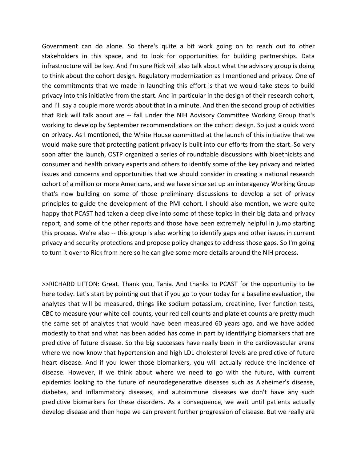Government can do alone. So there's quite a bit work going on to reach out to other stakeholders in this space, and to look for opportunities for building partnerships. Data infrastructure will be key. And I'm sure Rick will also talk about what the advisory group is doing to think about the cohort design. Regulatory modernization as I mentioned and privacy. One of the commitments that we made in launching this effort is that we would take steps to build privacy into this initiative from the start. And in particular in the design of their research cohort, and I'll say a couple more words about that in a minute. And then the second group of activities that Rick will talk about are ‐‐ fall under the NIH Advisory Committee Working Group that's working to develop by September recommendations on the cohort design. So just a quick word on privacy. As I mentioned, the White House committed at the launch of this initiative that we would make sure that protecting patient privacy is built into our efforts from the start. So very soon after the launch, OSTP organized a series of roundtable discussions with bioethicists and consumer and health privacy experts and others to identify some of the key privacy and related issues and concerns and opportunities that we should consider in creating a national research cohort of a million or more Americans, and we have since set up an interagency Working Group that's now building on some of those preliminary discussions to develop a set of privacy principles to guide the development of the PMI cohort. I should also mention, we were quite happy that PCAST had taken a deep dive into some of these topics in their big data and privacy report, and some of the other reports and those have been extremely helpful in jump starting this process. We're also -- this group is also working to identify gaps and other issues in current privacy and security protections and propose policy changes to address those gaps. So I'm going to turn it over to Rick from here so he can give some more details around the NIH process.

>>RICHARD LIFTON: Great. Thank you, Tania. And thanks to PCAST for the opportunity to be here today. Let's start by pointing out that if you go to your today for a baseline evaluation, the analytes that will be measured, things like sodium potassium, creatinine, liver function tests, CBC to measure your white cell counts, your red cell counts and platelet counts are pretty much the same set of analytes that would have been measured 60 years ago, and we have added modestly to that and what has been added has come in part by identifying biomarkers that are predictive of future disease. So the big successes have really been in the cardiovascular arena where we now know that hypertension and high LDL cholesterol levels are predictive of future heart disease. And if you lower those biomarkers, you will actually reduce the incidence of disease. However, if we think about where we need to go with the future, with current epidemics looking to the future of neurodegenerative diseases such as Alzheimer's disease, diabetes, and inflammatory diseases, and autoimmune diseases we don't have any such predictive biomarkers for these disorders. As a consequence, we wait until patients actually develop disease and then hope we can prevent further progression of disease. But we really are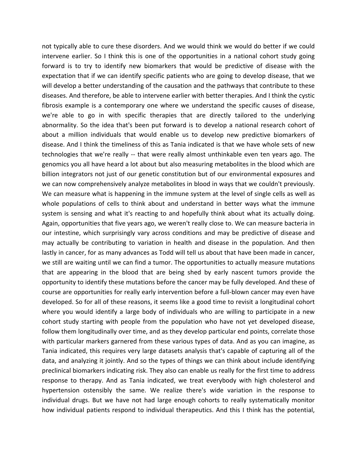not typically able to cure these disorders. And we would think we would do better if we could intervene earlier. So I think this is one of the opportunities in a national cohort study going forward is to try to identify new biomarkers that would be predictive of disease with the expectation that if we can identify specific patients who are going to develop disease, that we will develop a better understanding of the causation and the pathways that contribute to these diseases. And therefore, be able to intervene earlier with better therapies. And I think the cystic fibrosis example is a contemporary one where we understand the specific causes of disease, we're able to go in with specific therapies that are directly tailored to the underlying abnormality. So the idea that's been put forward is to develop a national research cohort of about a million individuals that would enable us to develop new predictive biomarkers of disease. And I think the timeliness of this as Tania indicated is that we have whole sets of new technologies that we're really ‐‐ that were really almost unthinkable even ten years ago. The genomics you all have heard a lot about but also measuring metabolites in the blood which are billion integrators not just of our genetic constitution but of our environmental exposures and we can now comprehensively analyze metabolites in blood in ways that we couldn't previously. We can measure what is happening in the immune system at the level of single cells as well as whole populations of cells to think about and understand in better ways what the immune system is sensing and what it's reacting to and hopefully think about what its actually doing. Again, opportunities that five years ago, we weren't really close to. We can measure bacteria in our intestine, which surprisingly vary across conditions and may be predictive of disease and may actually be contributing to variation in health and disease in the population. And then lastly in cancer, for as many advances as Todd will tell us about that have been made in cancer, we still are waiting until we can find a tumor. The opportunities to actually measure mutations that are appearing in the blood that are being shed by early nascent tumors provide the opportunity to identify these mutations before the cancer may be fully developed. And these of course are opportunities for really early intervention before a full‐blown cancer may even have developed. So for all of these reasons, it seems like a good time to revisit a longitudinal cohort where you would identify a large body of individuals who are willing to participate in a new cohort study starting with people from the population who have not yet developed disease, follow them longitudinally over time, and as they develop particular end points, correlate those with particular markers garnered from these various types of data. And as you can imagine, as Tania indicated, this requires very large datasets analysis that's capable of capturing all of the data, and analyzing it jointly. And so the types of things we can think about include identifying preclinical biomarkers indicating risk. They also can enable us really for the first time to address response to therapy. And as Tania indicated, we treat everybody with high cholesterol and hypertension ostensibly the same. We realize there's wide variation in the response to individual drugs. But we have not had large enough cohorts to really systematically monitor how individual patients respond to individual therapeutics. And this I think has the potential,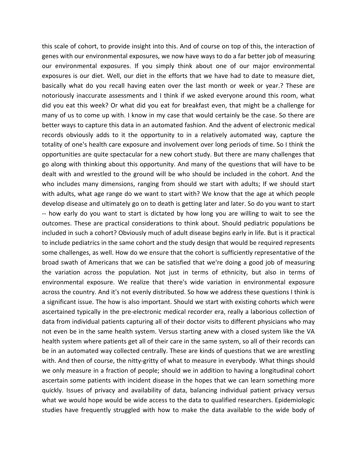this scale of cohort, to provide insight into this. And of course on top of this, the interaction of genes with our environmental exposures, we now have ways to do a far better job of measuring our environmental exposures. If you simply think about one of our major environmental exposures is our diet. Well, our diet in the efforts that we have had to date to measure diet, basically what do you recall having eaten over the last month or week or year.? These are notoriously inaccurate assessments and I think if we asked everyone around this room, what did you eat this week? Or what did you eat for breakfast even, that might be a challenge for many of us to come up with. I know in my case that would certainly be the case. So there are better ways to capture this data in an automated fashion. And the advent of electronic medical records obviously adds to it the opportunity to in a relatively automated way, capture the totality of one's health care exposure and involvement over long periods of time. So I think the opportunities are quite spectacular for a new cohort study. But there are many challenges that go along with thinking about this opportunity. And many of the questions that will have to be dealt with and wrestled to the ground will be who should be included in the cohort. And the who includes many dimensions, ranging from should we start with adults; If we should start with adults, what age range do we want to start with? We know that the age at which people develop disease and ultimately go on to death is getting later and later. So do you want to start ‐‐ how early do you want to start is dictated by how long you are willing to wait to see the outcomes. These are practical considerations to think about. Should pediatric populations be included in such a cohort? Obviously much of adult disease begins early in life. But is it practical to include pediatrics in the same cohort and the study design that would be required represents some challenges, as well. How do we ensure that the cohort is sufficiently representative of the broad swath of Americans that we can be satisfied that we're doing a good job of measuring the variation across the population. Not just in terms of ethnicity, but also in terms of environmental exposure. We realize that there's wide variation in environmental exposure across the country. And it's not evenly distributed. So how we address these questions I think is a significant issue. The how is also important. Should we start with existing cohorts which were ascertained typically in the pre‐electronic medical recorder era, really a laborious collection of data from individual patients capturing all of their doctor visits to different physicians who may not even be in the same health system. Versus starting anew with a closed system like the VA health system where patients get all of their care in the same system, so all of their records can be in an automated way collected centrally. These are kinds of questions that we are wrestling with. And then of course, the nitty-gritty of what to measure in everybody. What things should we only measure in a fraction of people; should we in addition to having a longitudinal cohort ascertain some patients with incident disease in the hopes that we can learn something more quickly. Issues of privacy and availability of data, balancing individual patient privacy versus what we would hope would be wide access to the data to qualified researchers. Epidemiologic studies have frequently struggled with how to make the data available to the wide body of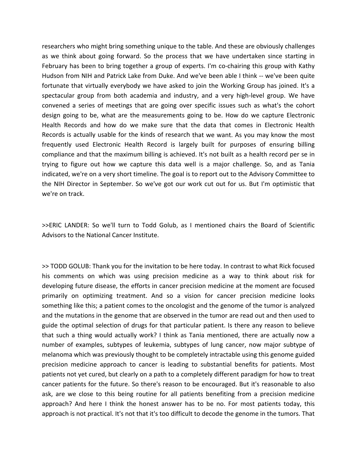researchers who might bring something unique to the table. And these are obviously challenges as we think about going forward. So the process that we have undertaken since starting in February has been to bring together a group of experts. I'm co-chairing this group with Kathy Hudson from NIH and Patrick Lake from Duke. And we've been able I think ‐‐ we've been quite fortunate that virtually everybody we have asked to join the Working Group has joined. It's a spectacular group from both academia and industry, and a very high-level group. We have convened a series of meetings that are going over specific issues such as what's the cohort design going to be, what are the measurements going to be. How do we capture Electronic Health Records and how do we make sure that the data that comes in Electronic Health Records is actually usable for the kinds of research that we want. As you may know the most frequently used Electronic Health Record is largely built for purposes of ensuring billing compliance and that the maximum billing is achieved. It's not built as a health record per se in trying to figure out how we capture this data well is a major challenge. So, and as Tania indicated, we're on a very short timeline. The goal is to report out to the Advisory Committee to the NIH Director in September. So we've got our work cut out for us. But I'm optimistic that we're on track.

>>ERIC LANDER: So we'll turn to Todd Golub, as I mentioned chairs the Board of Scientific Advisors to the National Cancer Institute.

>> TODD GOLUB: Thank you for the invitation to be here today. In contrast to what Rick focused his comments on which was using precision medicine as a way to think about risk for developing future disease, the efforts in cancer precision medicine at the moment are focused primarily on optimizing treatment. And so a vision for cancer precision medicine looks something like this; a patient comes to the oncologist and the genome of the tumor is analyzed and the mutations in the genome that are observed in the tumor are read out and then used to guide the optimal selection of drugs for that particular patient. Is there any reason to believe that such a thing would actually work? I think as Tania mentioned, there are actually now a number of examples, subtypes of leukemia, subtypes of lung cancer, now major subtype of melanoma which was previously thought to be completely intractable using this genome guided precision medicine approach to cancer is leading to substantial benefits for patients. Most patients not yet cured, but clearly on a path to a completely different paradigm for how to treat cancer patients for the future. So there's reason to be encouraged. But it's reasonable to also ask, are we close to this being routine for all patients benefiting from a precision medicine approach? And here I think the honest answer has to be no. For most patients today, this approach is not practical. It's not that it's too difficult to decode the genome in the tumors. That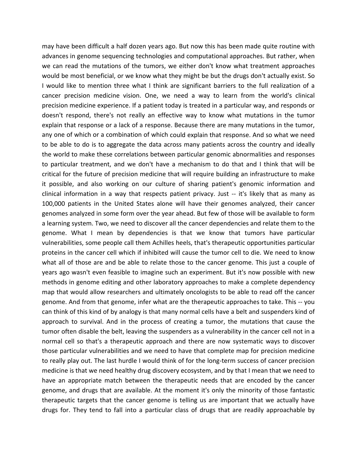may have been difficult a half dozen years ago. But now this has been made quite routine with advances in genome sequencing technologies and computational approaches. But rather, when we can read the mutations of the tumors, we either don't know what treatment approaches would be most beneficial, or we know what they might be but the drugs don't actually exist. So I would like to mention three what I think are significant barriers to the full realization of a cancer precision medicine vision. One, we need a way to learn from the world's clinical precision medicine experience. If a patient today is treated in a particular way, and responds or doesn't respond, there's not really an effective way to know what mutations in the tumor explain that response or a lack of a response. Because there are many mutations in the tumor, any one of which or a combination of which could explain that response. And so what we need to be able to do is to aggregate the data across many patients across the country and ideally the world to make these correlations between particular genomic abnormalities and responses to particular treatment, and we don't have a mechanism to do that and I think that will be critical for the future of precision medicine that will require building an infrastructure to make it possible, and also working on our culture of sharing patient's genomic information and clinical information in a way that respects patient privacy. Just ‐‐ it's likely that as many as 100,000 patients in the United States alone will have their genomes analyzed, their cancer genomes analyzed in some form over the year ahead. But few of those will be available to form a learning system. Two, we need to discover all the cancer dependencies and relate them to the genome. What I mean by dependencies is that we know that tumors have particular vulnerabilities, some people call them Achilles heels, that's therapeutic opportunities particular proteins in the cancer cell which if inhibited will cause the tumor cell to die. We need to know what all of those are and be able to relate those to the cancer genome. This just a couple of years ago wasn't even feasible to imagine such an experiment. But it's now possible with new methods in genome editing and other laboratory approaches to make a complete dependency map that would allow researchers and ultimately oncologists to be able to read off the cancer genome. And from that genome, infer what are the therapeutic approaches to take. This ‐‐ you can think of this kind of by analogy is that many normal cells have a belt and suspenders kind of approach to survival. And in the process of creating a tumor, the mutations that cause the tumor often disable the belt, leaving the suspenders as a vulnerability in the cancer cell not in a normal cell so that's a therapeutic approach and there are now systematic ways to discover those particular vulnerabilities and we need to have that complete map for precision medicine to really play out. The last hurdle I would think of for the long-term success of cancer precision medicine is that we need healthy drug discovery ecosystem, and by that I mean that we need to have an appropriate match between the therapeutic needs that are encoded by the cancer genome, and drugs that are available. At the moment it's only the minority of those fantastic therapeutic targets that the cancer genome is telling us are important that we actually have drugs for. They tend to fall into a particular class of drugs that are readily approachable by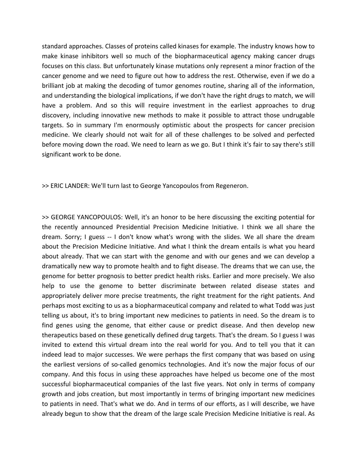standard approaches. Classes of proteins called kinases for example. The industry knows how to make kinase inhibitors well so much of the biopharmaceutical agency making cancer drugs focuses on this class. But unfortunately kinase mutations only represent a minor fraction of the cancer genome and we need to figure out how to address the rest. Otherwise, even if we do a brilliant job at making the decoding of tumor genomes routine, sharing all of the information, and understanding the biological implications, if we don't have the right drugs to match, we will have a problem. And so this will require investment in the earliest approaches to drug discovery, including innovative new methods to make it possible to attract those undrugable targets. So in summary I'm enormously optimistic about the prospects for cancer precision medicine. We clearly should not wait for all of these challenges to be solved and perfected before moving down the road. We need to learn as we go. But I think it's fair to say there's still significant work to be done.

>> ERIC LANDER: We'll turn last to George Yancopoulos from Regeneron.

>> GEORGE YANCOPOULOS: Well, it's an honor to be here discussing the exciting potential for the recently announced Presidential Precision Medicine Initiative. I think we all share the dream. Sorry; I guess -- I don't know what's wrong with the slides. We all share the dream about the Precision Medicine Initiative. And what I think the dream entails is what you heard about already. That we can start with the genome and with our genes and we can develop a dramatically new way to promote health and to fight disease. The dreams that we can use, the genome for better prognosis to better predict health risks. Earlier and more precisely. We also help to use the genome to better discriminate between related disease states and appropriately deliver more precise treatments, the right treatment for the right patients. And perhaps most exciting to us as a biopharmaceutical company and related to what Todd was just telling us about, it's to bring important new medicines to patients in need. So the dream is to find genes using the genome, that either cause or predict disease. And then develop new therapeutics based on these genetically defined drug targets. That's the dream. So I guess I was invited to extend this virtual dream into the real world for you. And to tell you that it can indeed lead to major successes. We were perhaps the first company that was based on using the earliest versions of so‐called genomics technologies. And it's now the major focus of our company. And this focus in using these approaches have helped us become one of the most successful biopharmaceutical companies of the last five years. Not only in terms of company growth and jobs creation, but most importantly in terms of bringing important new medicines to patients in need. That's what we do. And in terms of our efforts, as I will describe, we have already begun to show that the dream of the large scale Precision Medicine Initiative is real. As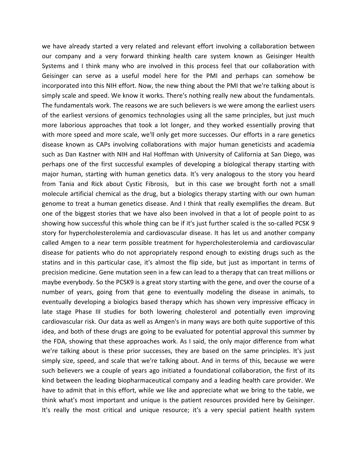we have already started a very related and relevant effort involving a collaboration between our company and a very forward thinking health care system known as Geisinger Health Systems and I think many who are involved in this process feel that our collaboration with Geisinger can serve as a useful model here for the PMI and perhaps can somehow be incorporated into this NIH effort. Now, the new thing about the PMI that we're talking about is simply scale and speed. We know it works. There's nothing really new about the fundamentals. The fundamentals work. The reasons we are such believers is we were among the earliest users of the earliest versions of genomics technologies using all the same principles, but just much more laborious approaches that took a lot longer, and they worked essentially proving that with more speed and more scale, we'll only get more successes. Our efforts in a rare genetics disease known as CAPs involving collaborations with major human geneticists and academia such as Dan Kastner with NIH and Hal Hoffman with University of California at San Diego, was perhaps one of the first successful examples of developing a biological therapy starting with major human, starting with human genetics data. It's very analogous to the story you heard from Tania and Rick about Cystic Fibrosis, but in this case we brought forth not a small molecule artificial chemical as the drug, but a biologics therapy starting with our own human genome to treat a human genetics disease. And I think that really exemplifies the dream. But one of the biggest stories that we have also been involved in that a lot of people point to as showing how successful this whole thing can be if it's just further scaled is the so-called PCSK 9 story for hypercholesterolemia and cardiovascular disease. It has let us and another company called Amgen to a near term possible treatment for hypercholesterolemia and cardiovascular disease for patients who do not appropriately respond enough to existing drugs such as the statins and in this particular case, it's almost the flip side, but just as important in terms of precision medicine. Gene mutation seen in a few can lead to a therapy that can treat millions or maybe everybody. So the PCSK9 is a great story starting with the gene, and over the course of a number of years, going from that gene to eventually modeling the disease in animals, to eventually developing a biologics based therapy which has shown very impressive efficacy in late stage Phase III studies for both lowering cholesterol and potentially even improving cardiovascular risk. Our data as well as Amgen's in many ways are both quite supportive of this idea, and both of these drugs are going to be evaluated for potential approval this summer by the FDA, showing that these approaches work. As I said, the only major difference from what we're talking about is these prior successes, they are based on the same principles. It's just simply size, speed, and scale that we're talking about. And in terms of this, because we were such believers we a couple of years ago initiated a foundational collaboration, the first of its kind between the leading biopharmaceutical company and a leading health care provider. We have to admit that in this effort, while we like and appreciate what we bring to the table, we think what's most important and unique is the patient resources provided here by Geisinger. It's really the most critical and unique resource; it's a very special patient health system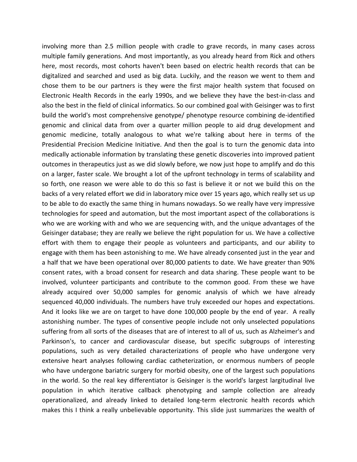involving more than 2.5 million people with cradle to grave records, in many cases across multiple family generations. And most importantly, as you already heard from Rick and others here, most records, most cohorts haven't been based on electric health records that can be digitalized and searched and used as big data. Luckily, and the reason we went to them and chose them to be our partners is they were the first major health system that focused on Electronic Health Records in the early 1990s, and we believe they have the best-in-class and also the best in the field of clinical informatics. So our combined goal with Geisinger was to first build the world's most comprehensive genotype/ phenotype resource combining de‐identified genomic and clinical data from over a quarter million people to aid drug development and genomic medicine, totally analogous to what we're talking about here in terms of the Presidential Precision Medicine Initiative. And then the goal is to turn the genomic data into medically actionable information by translating these genetic discoveries into improved patient outcomes in therapeutics just as we did slowly before, we now just hope to amplify and do this on a larger, faster scale. We brought a lot of the upfront technology in terms of scalability and so forth, one reason we were able to do this so fast is believe it or not we build this on the backs of a very related effort we did in laboratory mice over 15 years ago, which really set us up to be able to do exactly the same thing in humans nowadays. So we really have very impressive technologies for speed and automation, but the most important aspect of the collaborations is who we are working with and who we are sequencing with, and the unique advantages of the Geisinger database; they are really we believe the right population for us. We have a collective effort with them to engage their people as volunteers and participants, and our ability to engage with them has been astonishing to me. We have already consented just in the year and a half that we have been operational over 80,000 patients to date. We have greater than 90% consent rates, with a broad consent for research and data sharing. These people want to be involved, volunteer participants and contribute to the common good. From these we have already acquired over 50,000 samples for genomic analysis of which we have already sequenced 40,000 individuals. The numbers have truly exceeded our hopes and expectations. And it looks like we are on target to have done 100,000 people by the end of year. A really astonishing number. The types of consentive people include not only unselected populations suffering from all sorts of the diseases that are of interest to all of us, such as Alzheimer's and Parkinson's, to cancer and cardiovascular disease, but specific subgroups of interesting populations, such as very detailed characterizations of people who have undergone very extensive heart analyses following cardiac catheterization, or enormous numbers of people who have undergone bariatric surgery for morbid obesity, one of the largest such populations in the world. So the real key differentiator is Geisinger is the world's largest largitudinal live population in which iterative callback phenotyping and sample collection are already operationalized, and already linked to detailed long‐term electronic health records which makes this I think a really unbelievable opportunity. This slide just summarizes the wealth of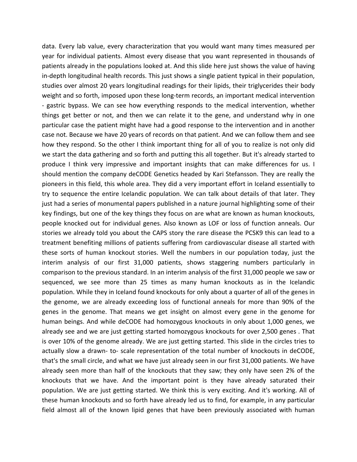data. Every lab value, every characterization that you would want many times measured per year for individual patients. Almost every disease that you want represented in thousands of patients already in the populations looked at. And this slide here just shows the value of having in-depth longitudinal health records. This just shows a single patient typical in their population, studies over almost 20 years longitudinal readings for their lipids, their triglycerides their body weight and so forth, imposed upon these long-term records, an important medical intervention ‐ gastric bypass. We can see how everything responds to the medical intervention, whether things get better or not, and then we can relate it to the gene, and understand why in one particular case the patient might have had a good response to the intervention and in another case not. Because we have 20 years of records on that patient. And we can follow them and see how they respond. So the other I think important thing for all of you to realize is not only did we start the data gathering and so forth and putting this all together. But it's already started to produce I think very impressive and important insights that can make differences for us. I should mention the company deCODE Genetics headed by Kari Stefansson. They are really the pioneers in this field, this whole area. They did a very important effort in Iceland essentially to try to sequence the entire Icelandic population. We can talk about details of that later. They just had a series of monumental papers published in a nature journal highlighting some of their key findings, but one of the key things they focus on are what are known as human knockouts, people knocked out for individual genes. Also known as LOF or loss of function anneals. Our stories we already told you about the CAPS story the rare disease the PCSK9 this can lead to a treatment benefiting millions of patients suffering from cardiovascular disease all started with these sorts of human knockout stories. Well the numbers in our population today, just the interim analysis of our first 31,000 patients, shows staggering numbers particularly in comparison to the previous standard. In an interim analysis of the first 31,000 people we saw or sequenced, we see more than 25 times as many human knockouts as in the Icelandic population. While they in Iceland found knockouts for only about a quarter of all of the genes in the genome, we are already exceeding loss of functional anneals for more than 90% of the genes in the genome. That means we get insight on almost every gene in the genome for human beings. And while deCODE had homozygous knockouts in only about 1,000 genes, we already see and we are just getting started homozygous knockouts for over 2,500 genes . That is over 10% of the genome already. We are just getting started. This slide in the circles tries to actually slow a drawn‐ to‐ scale representation of the total number of knockouts in deCODE, that's the small circle, and what we have just already seen in our first 31,000 patients. We have already seen more than half of the knockouts that they saw; they only have seen 2% of the knockouts that we have. And the important point is they have already saturated their population. We are just getting started. We think this is very exciting. And it's working. All of these human knockouts and so forth have already led us to find, for example, in any particular field almost all of the known lipid genes that have been previously associated with human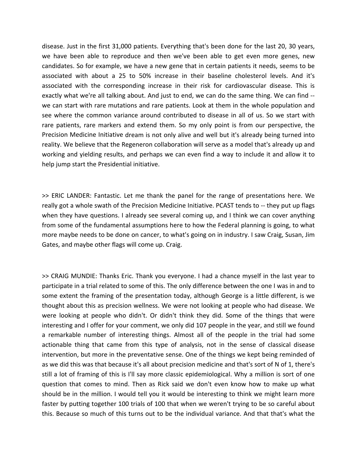disease. Just in the first 31,000 patients. Everything that's been done for the last 20, 30 years, we have been able to reproduce and then we've been able to get even more genes, new candidates. So for example, we have a new gene that in certain patients it needs, seems to be associated with about a 25 to 50% increase in their baseline cholesterol levels. And it's associated with the corresponding increase in their risk for cardiovascular disease. This is exactly what we're all talking about. And just to end, we can do the same thing. We can find ‐‐ we can start with rare mutations and rare patients. Look at them in the whole population and see where the common variance around contributed to disease in all of us. So we start with rare patients, rare markers and extend them. So my only point is from our perspective, the Precision Medicine Initiative dream is not only alive and well but it's already being turned into reality. We believe that the Regeneron collaboration will serve as a model that's already up and working and yielding results, and perhaps we can even find a way to include it and allow it to help jump start the Presidential initiative.

>> ERIC LANDER: Fantastic. Let me thank the panel for the range of presentations here. We really got a whole swath of the Precision Medicine Initiative. PCAST tends to ‐‐ they put up flags when they have questions. I already see several coming up, and I think we can cover anything from some of the fundamental assumptions here to how the Federal planning is going, to what more maybe needs to be done on cancer, to what's going on in industry. I saw Craig, Susan, Jim Gates, and maybe other flags will come up. Craig.

>> CRAIG MUNDIE: Thanks Eric. Thank you everyone. I had a chance myself in the last year to participate in a trial related to some of this. The only difference between the one I was in and to some extent the framing of the presentation today, although George is a little different, is we thought about this as precision wellness. We were not looking at people who had disease. We were looking at people who didn't. Or didn't think they did. Some of the things that were interesting and I offer for your comment, we only did 107 people in the year, and still we found a remarkable number of interesting things. Almost all of the people in the trial had some actionable thing that came from this type of analysis, not in the sense of classical disease intervention, but more in the preventative sense. One of the things we kept being reminded of as we did this was that because it's all about precision medicine and that's sort of N of 1, there's still a lot of framing of this is I'll say more classic epidemiological. Why a million is sort of one question that comes to mind. Then as Rick said we don't even know how to make up what should be in the million. I would tell you it would be interesting to think we might learn more faster by putting together 100 trials of 100 that when we weren't trying to be so careful about this. Because so much of this turns out to be the individual variance. And that that's what the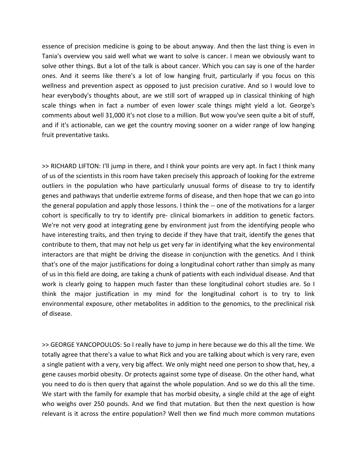essence of precision medicine is going to be about anyway. And then the last thing is even in Tania's overview you said well what we want to solve is cancer. I mean we obviously want to solve other things. But a lot of the talk is about cancer. Which you can say is one of the harder ones. And it seems like there's a lot of low hanging fruit, particularly if you focus on this wellness and prevention aspect as opposed to just precision curative. And so I would love to hear everybody's thoughts about, are we still sort of wrapped up in classical thinking of high scale things when in fact a number of even lower scale things might yield a lot. George's comments about well 31,000 it's not close to a million. But wow you've seen quite a bit of stuff, and if it's actionable, can we get the country moving sooner on a wider range of low hanging fruit preventative tasks.

>> RICHARD LIFTON: I'll jump in there, and I think your points are very apt. In fact I think many of us of the scientists in this room have taken precisely this approach of looking for the extreme outliers in the population who have particularly unusual forms of disease to try to identify genes and pathways that underlie extreme forms of disease, and then hope that we can go into the general population and apply those lessons. I think the ‐‐ one of the motivations for a larger cohort is specifically to try to identify pre- clinical biomarkers in addition to genetic factors. We're not very good at integrating gene by environment just from the identifying people who have interesting traits, and then trying to decide if they have that trait, identify the genes that contribute to them, that may not help us get very far in identifying what the key environmental interactors are that might be driving the disease in conjunction with the genetics. And I think that's one of the major justifications for doing a longitudinal cohort rather than simply as many of us in this field are doing, are taking a chunk of patients with each individual disease. And that work is clearly going to happen much faster than these longitudinal cohort studies are. So I think the major justification in my mind for the longitudinal cohort is to try to link environmental exposure, other metabolites in addition to the genomics, to the preclinical risk of disease.

>> GEORGE YANCOPOULOS: So I really have to jump in here because we do this all the time. We totally agree that there's a value to what Rick and you are talking about which is very rare, even a single patient with a very, very big affect. We only might need one person to show that, hey, a gene causes morbid obesity. Or protects against some type of disease. On the other hand, what you need to do is then query that against the whole population. And so we do this all the time. We start with the family for example that has morbid obesity, a single child at the age of eight who weighs over 250 pounds. And we find that mutation. But then the next question is how relevant is it across the entire population? Well then we find much more common mutations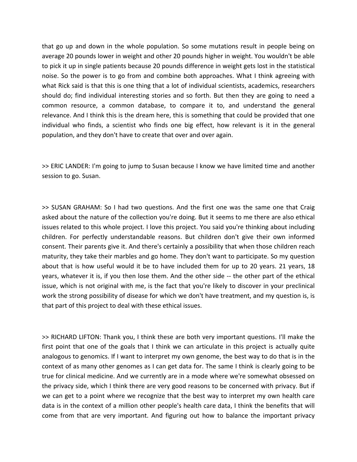that go up and down in the whole population. So some mutations result in people being on average 20 pounds lower in weight and other 20 pounds higher in weight. You wouldn't be able to pick it up in single patients because 20 pounds difference in weight gets lost in the statistical noise. So the power is to go from and combine both approaches. What I think agreeing with what Rick said is that this is one thing that a lot of individual scientists, academics, researchers should do; find individual interesting stories and so forth. But then they are going to need a common resource, a common database, to compare it to, and understand the general relevance. And I think this is the dream here, this is something that could be provided that one individual who finds, a scientist who finds one big effect, how relevant is it in the general population, and they don't have to create that over and over again.

>> ERIC LANDER: I'm going to jump to Susan because I know we have limited time and another session to go. Susan.

>> SUSAN GRAHAM: So I had two questions. And the first one was the same one that Craig asked about the nature of the collection you're doing. But it seems to me there are also ethical issues related to this whole project. I love this project. You said you're thinking about including children. For perfectly understandable reasons. But children don't give their own informed consent. Their parents give it. And there's certainly a possibility that when those children reach maturity, they take their marbles and go home. They don't want to participate. So my question about that is how useful would it be to have included them for up to 20 years. 21 years, 18 years, whatever it is, if you then lose them. And the other side ‐‐ the other part of the ethical issue, which is not original with me, is the fact that you're likely to discover in your preclinical work the strong possibility of disease for which we don't have treatment, and my question is, is that part of this project to deal with these ethical issues.

>> RICHARD LIFTON: Thank you, I think these are both very important questions. I'll make the first point that one of the goals that I think we can articulate in this project is actually quite analogous to genomics. If I want to interpret my own genome, the best way to do that is in the context of as many other genomes as I can get data for. The same I think is clearly going to be true for clinical medicine. And we currently are in a mode where we're somewhat obsessed on the privacy side, which I think there are very good reasons to be concerned with privacy. But if we can get to a point where we recognize that the best way to interpret my own health care data is in the context of a million other people's health care data, I think the benefits that will come from that are very important. And figuring out how to balance the important privacy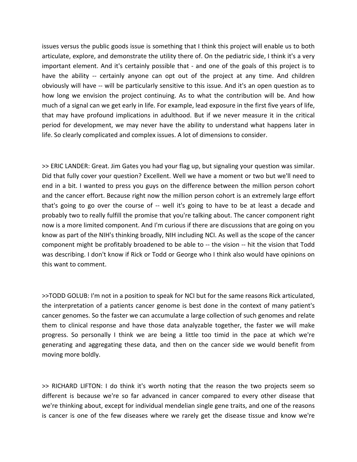issues versus the public goods issue is something that I think this project will enable us to both articulate, explore, and demonstrate the utility there of. On the pediatric side, I think it's a very important element. And it's certainly possible that - and one of the goals of this project is to have the ability -- certainly anyone can opt out of the project at any time. And children obviously will have ‐‐ will be particularly sensitive to this issue. And it's an open question as to how long we envision the project continuing. As to what the contribution will be. And how much of a signal can we get early in life. For example, lead exposure in the first five years of life, that may have profound implications in adulthood. But if we never measure it in the critical period for development, we may never have the ability to understand what happens later in life. So clearly complicated and complex issues. A lot of dimensions to consider.

>> ERIC LANDER: Great. Jim Gates you had your flag up, but signaling your question was similar. Did that fully cover your question? Excellent. Well we have a moment or two but we'll need to end in a bit. I wanted to press you guys on the difference between the million person cohort and the cancer effort. Because right now the million person cohort is an extremely large effort that's going to go over the course of ‐‐ well it's going to have to be at least a decade and probably two to really fulfill the promise that you're talking about. The cancer component right now is a more limited component. And I'm curious if there are discussions that are going on you know as part of the NIH's thinking broadly, NIH including NCI. As well as the scope of the cancer component might be profitably broadened to be able to ‐‐ the vision ‐‐ hit the vision that Todd was describing. I don't know if Rick or Todd or George who I think also would have opinions on this want to comment.

>>TODD GOLUB: I'm not in a position to speak for NCI but for the same reasons Rick articulated, the interpretation of a patients cancer genome is best done in the context of many patient's cancer genomes. So the faster we can accumulate a large collection of such genomes and relate them to clinical response and have those data analyzable together, the faster we will make progress. So personally I think we are being a little too timid in the pace at which we're generating and aggregating these data, and then on the cancer side we would benefit from moving more boldly.

>> RICHARD LIFTON: I do think it's worth noting that the reason the two projects seem so different is because we're so far advanced in cancer compared to every other disease that we're thinking about, except for individual mendelian single gene traits, and one of the reasons is cancer is one of the few diseases where we rarely get the disease tissue and know we're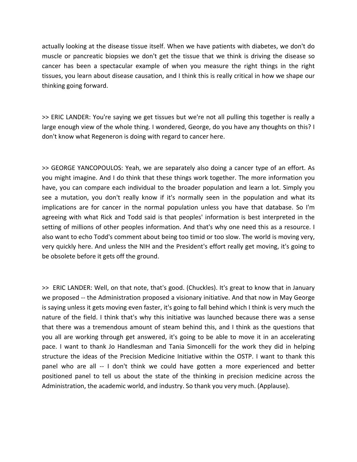actually looking at the disease tissue itself. When we have patients with diabetes, we don't do muscle or pancreatic biopsies we don't get the tissue that we think is driving the disease so cancer has been a spectacular example of when you measure the right things in the right tissues, you learn about disease causation, and I think this is really critical in how we shape our thinking going forward.

>> ERIC LANDER: You're saying we get tissues but we're not all pulling this together is really a large enough view of the whole thing. I wondered, George, do you have any thoughts on this? I don't know what Regeneron is doing with regard to cancer here.

>> GEORGE YANCOPOULOS: Yeah, we are separately also doing a cancer type of an effort. As you might imagine. And I do think that these things work together. The more information you have, you can compare each individual to the broader population and learn a lot. Simply you see a mutation, you don't really know if it's normally seen in the population and what its implications are for cancer in the normal population unless you have that database. So I'm agreeing with what Rick and Todd said is that peoples' information is best interpreted in the setting of millions of other peoples information. And that's why one need this as a resource. I also want to echo Todd's comment about being too timid or too slow. The world is moving very, very quickly here. And unless the NIH and the President's effort really get moving, it's going to be obsolete before it gets off the ground.

>> ERIC LANDER: Well, on that note, that's good. (Chuckles). It's great to know that in January we proposed -- the Administration proposed a visionary initiative. And that now in May George is saying unless it gets moving even faster, it's going to fall behind which I think is very much the nature of the field. I think that's why this initiative was launched because there was a sense that there was a tremendous amount of steam behind this, and I think as the questions that you all are working through get answered, it's going to be able to move it in an accelerating pace. I want to thank Jo Handlesman and Tania Simoncelli for the work they did in helping structure the ideas of the Precision Medicine Initiative within the OSTP. I want to thank this panel who are all ‐‐ I don't think we could have gotten a more experienced and better positioned panel to tell us about the state of the thinking in precision medicine across the Administration, the academic world, and industry. So thank you very much. (Applause).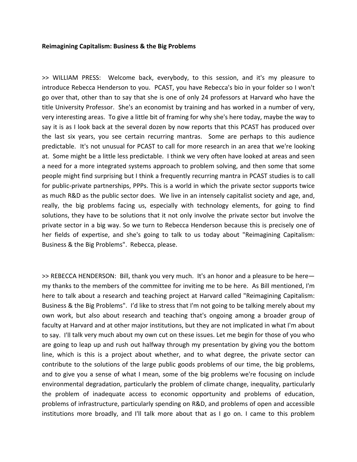#### **Reimagining Capitalism: Business & the Big Problems**

>> WILLIAM PRESS: Welcome back, everybody, to this session, and it's my pleasure to introduce Rebecca Henderson to you. PCAST, you have Rebecca's bio in your folder so I won't go over that, other than to say that she is one of only 24 professors at Harvard who have the title University Professor. She's an economist by training and has worked in a number of very, very interesting areas. To give a little bit of framing for why she's here today, maybe the way to say it is as I look back at the several dozen by now reports that this PCAST has produced over the last six years, you see certain recurring mantras. Some are perhaps to this audience predictable. It's not unusual for PCAST to call for more research in an area that we're looking at. Some might be a little less predictable. I think we very often have looked at areas and seen a need for a more integrated systems approach to problem solving, and then some that some people might find surprising but I think a frequently recurring mantra in PCAST studies is to call for public-private partnerships, PPPs. This is a world in which the private sector supports twice as much R&D as the public sector does. We live in an intensely capitalist society and age, and, really, the big problems facing us, especially with technology elements, for going to find solutions, they have to be solutions that it not only involve the private sector but involve the private sector in a big way. So we turn to Rebecca Henderson because this is precisely one of her fields of expertise, and she's going to talk to us today about "Reimagining Capitalism: Business & the Big Problems". Rebecca, please.

>> REBECCA HENDERSON: Bill, thank you very much. It's an honor and a pleasure to be here my thanks to the members of the committee for inviting me to be here. As Bill mentioned, I'm here to talk about a research and teaching project at Harvard called "Reimagining Capitalism: Business & the Big Problems". I'd like to stress that I'm not going to be talking merely about my own work, but also about research and teaching that's ongoing among a broader group of faculty at Harvard and at other major institutions, but they are not implicated in what I'm about to say. I'll talk very much about my own cut on these issues. Let me begin for those of you who are going to leap up and rush out halfway through my presentation by giving you the bottom line, which is this is a project about whether, and to what degree, the private sector can contribute to the solutions of the large public goods problems of our time, the big problems, and to give you a sense of what I mean, some of the big problems we're focusing on include environmental degradation, particularly the problem of climate change, inequality, particularly the problem of inadequate access to economic opportunity and problems of education, problems of infrastructure, particularly spending on R&D, and problems of open and accessible institutions more broadly, and I'll talk more about that as I go on. I came to this problem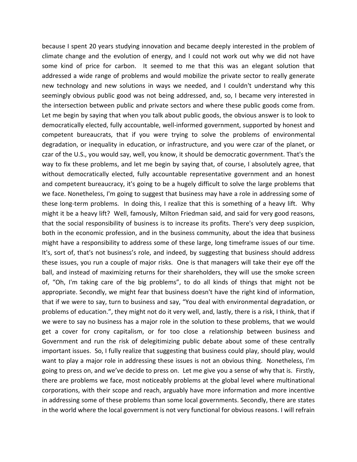because I spent 20 years studying innovation and became deeply interested in the problem of climate change and the evolution of energy, and I could not work out why we did not have some kind of price for carbon. It seemed to me that this was an elegant solution that addressed a wide range of problems and would mobilize the private sector to really generate new technology and new solutions in ways we needed, and I couldn't understand why this seemingly obvious public good was not being addressed, and, so, I became very interested in the intersection between public and private sectors and where these public goods come from. Let me begin by saying that when you talk about public goods, the obvious answer is to look to democratically elected, fully accountable, well‐informed government, supported by honest and competent bureaucrats, that if you were trying to solve the problems of environmental degradation, or inequality in education, or infrastructure, and you were czar of the planet, or czar of the U.S., you would say, well, you know, it should be democratic government. That's the way to fix these problems, and let me begin by saying that, of course, I absolutely agree, that without democratically elected, fully accountable representative government and an honest and competent bureaucracy, it's going to be a hugely difficult to solve the large problems that we face. Nonetheless, I'm going to suggest that business may have a role in addressing some of these long-term problems. In doing this, I realize that this is something of a heavy lift. Why might it be a heavy lift? Well, famously, Milton Friedman said, and said for very good reasons, that the social responsibility of business is to increase its profits. There's very deep suspicion, both in the economic profession, and in the business community, about the idea that business might have a responsibility to address some of these large, long timeframe issues of our time. It's, sort of, that's not business's role, and indeed, by suggesting that business should address these issues, you run a couple of major risks. One is that managers will take their eye off the ball, and instead of maximizing returns for their shareholders, they will use the smoke screen of, "Oh, I'm taking care of the big problems", to do all kinds of things that might not be appropriate. Secondly, we might fear that business doesn't have the right kind of information, that if we were to say, turn to business and say, "You deal with environmental degradation, or problems of education.", they might not do it very well, and, lastly, there is a risk, I think, that if we were to say no business has a major role in the solution to these problems, that we would get a cover for crony capitalism, or for too close a relationship between business and Government and run the risk of delegitimizing public debate about some of these centrally important issues. So, I fully realize that suggesting that business could play, should play, would want to play a major role in addressing these issues is not an obvious thing. Nonetheless, I'm going to press on, and we've decide to press on. Let me give you a sense of why that is. Firstly, there are problems we face, most noticeably problems at the global level where multinational corporations, with their scope and reach, arguably have more information and more incentive in addressing some of these problems than some local governments. Secondly, there are states in the world where the local government is not very functional for obvious reasons. I will refrain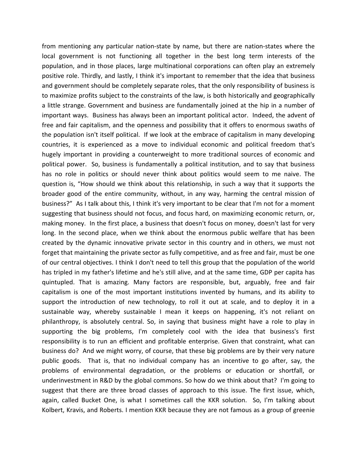from mentioning any particular nation‐state by name, but there are nation‐states where the local government is not functioning all together in the best long term interests of the population, and in those places, large multinational corporations can often play an extremely positive role. Thirdly, and lastly, I think it's important to remember that the idea that business and government should be completely separate roles, that the only responsibility of business is to maximize profits subject to the constraints of the law, is both historically and geographically a little strange. Government and business are fundamentally joined at the hip in a number of important ways. Business has always been an important political actor. Indeed, the advent of free and fair capitalism, and the openness and possibility that it offers to enormous swaths of the population isn't itself political. If we look at the embrace of capitalism in many developing countries, it is experienced as a move to individual economic and political freedom that's hugely important in providing a counterweight to more traditional sources of economic and political power. So, business is fundamentally a political institution, and to say that business has no role in politics or should never think about politics would seem to me naive. The question is, "How should we think about this relationship, in such a way that it supports the broader good of the entire community, without, in any way, harming the central mission of business?" As I talk about this, I think it's very important to be clear that I'm not for a moment suggesting that business should not focus, and focus hard, on maximizing economic return, or, making money. In the first place, a business that doesn't focus on money, doesn't last for very long. In the second place, when we think about the enormous public welfare that has been created by the dynamic innovative private sector in this country and in others, we must not forget that maintaining the private sector as fully competitive, and as free and fair, must be one of our central objectives. I think I don't need to tell this group that the population of the world has tripled in my father's lifetime and he's still alive, and at the same time, GDP per capita has quintupled. That is amazing. Many factors are responsible, but, arguably, free and fair capitalism is one of the most important institutions invented by humans, and its ability to support the introduction of new technology, to roll it out at scale, and to deploy it in a sustainable way, whereby sustainable I mean it keeps on happening, it's not reliant on philanthropy, is absolutely central. So, in saying that business might have a role to play in supporting the big problems, I'm completely cool with the idea that business's first responsibility is to run an efficient and profitable enterprise. Given that constraint, what can business do? And we might worry, of course, that these big problems are by their very nature public goods. That is, that no individual company has an incentive to go after, say, the problems of environmental degradation, or the problems or education or shortfall, or underinvestment in R&D by the global commons. So how do we think about that? I'm going to suggest that there are three broad classes of approach to this issue. The first issue, which, again, called Bucket One, is what I sometimes call the KKR solution. So, I'm talking about Kolbert, Kravis, and Roberts. I mention KKR because they are not famous as a group of greenie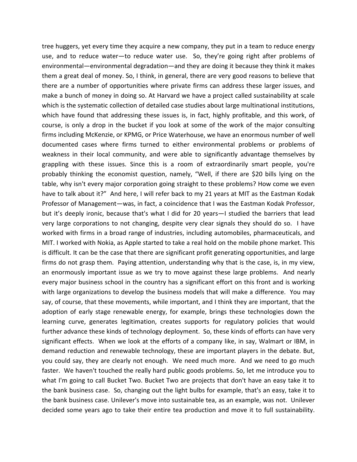tree huggers, yet every time they acquire a new company, they put in a team to reduce energy use, and to reduce water—to reduce water use. So, they're going right after problems of environmental—environmental degradation—and they are doing it because they think it makes them a great deal of money. So, I think, in general, there are very good reasons to believe that there are a number of opportunities where private firms can address these larger issues, and make a bunch of money in doing so. At Harvard we have a project called sustainability at scale which is the systematic collection of detailed case studies about large multinational institutions, which have found that addressing these issues is, in fact, highly profitable, and this work, of course, is only a drop in the bucket if you look at some of the work of the major consulting firms including McKenzie, or KPMG, or Price Waterhouse, we have an enormous number of well documented cases where firms turned to either environmental problems or problems of weakness in their local community, and were able to significantly advantage themselves by grappling with these issues. Since this is a room of extraordinarily smart people, you're probably thinking the economist question, namely, "Well, if there are \$20 bills lying on the table, why isn't every major corporation going straight to these problems? How come we even have to talk about it?" And here, I will refer back to my 21 years at MIT as the Eastman Kodak Professor of Management—was, in fact, a coincidence that I was the Eastman Kodak Professor, but it's deeply ironic, because that's what I did for 20 years—I studied the barriers that lead very large corporations to not changing, despite very clear signals they should do so. I have worked with firms in a broad range of industries, including automobiles, pharmaceuticals, and MIT. I worked with Nokia, as Apple started to take a real hold on the mobile phone market. This is difficult. It can be the case that there are significant profit generating opportunities, and large firms do not grasp them. Paying attention, understanding why that is the case, is, in my view, an enormously important issue as we try to move against these large problems. And nearly every major business school in the country has a significant effort on this front and is working with large organizations to develop the business models that will make a difference. You may say, of course, that these movements, while important, and I think they are important, that the adoption of early stage renewable energy, for example, brings these technologies down the learning curve, generates legitimation, creates supports for regulatory policies that would further advance these kinds of technology deployment. So, these kinds of efforts can have very significant effects. When we look at the efforts of a company like, in say, Walmart or IBM, in demand reduction and renewable technology, these are important players in the debate. But, you could say, they are clearly not enough. We need much more. And we need to go much faster. We haven't touched the really hard public goods problems. So, let me introduce you to what I'm going to call Bucket Two. Bucket Two are projects that don't have an easy take it to the bank business case. So, changing out the light bulbs for example, that's an easy, take it to the bank business case. Unilever's move into sustainable tea, as an example, was not. Unilever decided some years ago to take their entire tea production and move it to full sustainability.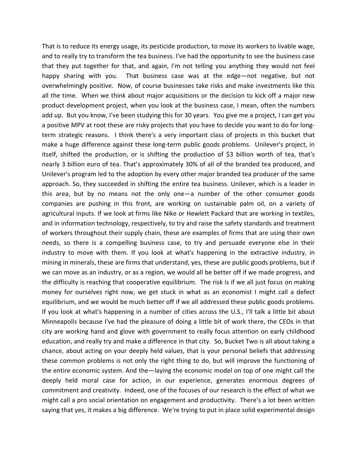That is to reduce its energy usage, its pesticide production, to move its workers to livable wage, and to really try to transform the tea business. I've had the opportunity to see the business case that they put together for that, and again, I'm not telling you anything they would not feel happy sharing with you. That business case was at the edge—not negative, but not overwhelmingly positive. Now, of course businesses take risks and make investments like this all the time. When we think about major acquisitions or the decision to kick off a major new product development project, when you look at the business case, I mean, often the numbers add up. But you know, I've been studying this for 30 years. You give me a project, I can get you a positive MPV at root these are risky projects that you have to decide you want to do for long‐ term strategic reasons. I think there's a very important class of projects in this bucket that make a huge difference against these long-term public goods problems. Unilever's project, in itself, shifted the production, or is shifting the production of \$3 billion worth of tea, that's nearly 3 billion euro of tea. That's approximately 30% of all of the branded tea produced, and Unilever's program led to the adoption by every other major branded tea producer of the same approach. So, they succeeded in shifting the entire tea business. Unilever, which is a leader in this area, but by no means not the only one—a number of the other consumer goods companies are pushing in this front, are working on sustainable palm oil, on a variety of agricultural inputs. If we look at firms like Nike or Hewlett Packard that are working in textiles, and in information technology, respectively, to try and raise the safety standards and treatment of workers throughout their supply chain, these are examples of firms that are using their own needs, so there is a compelling business case, to try and persuade everyone else in their industry to move with them. If you look at what's happening in the extractive industry, in mining in minerals, these are firms that understand, yes, these are public goods problems, but if we can move as an industry, or as a region, we would all be better off if we made progress, and the difficulty is reaching that cooperative equilibrium. The risk is if we all just focus on making money for ourselves right now, we get stuck in what as an economist I might call a defect equilibrium, and we would be much better off if we all addressed these public goods problems. If you look at what's happening in a number of cities across the U.S., I'll talk a little bit about Minneapolis because I've had the pleasure of doing a little bit of work there, the CEOs in that city are working hand and glove with government to really focus attention on early childhood education, and really try and make a difference in that city. So, Bucket Two is all about taking a chance, about acting on your deeply held values, that is your personal beliefs that addressing these common problems is not only the right thing to do, but will improve the functioning of the entire economic system. And the—laying the economic model on top of one might call the deeply held moral case for action, in our experience, generates enormous degrees of commitment and creativity. Indeed, one of the focuses of our research is the effect of what we might call a pro social orientation on engagement and productivity. There's a lot been written saying that yes, it makes a big difference. We're trying to put in place solid experimental design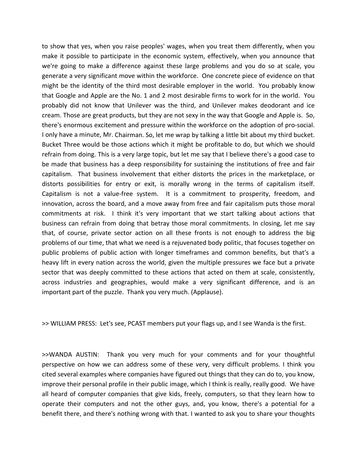to show that yes, when you raise peoples' wages, when you treat them differently, when you make it possible to participate in the economic system, effectively, when you announce that we're going to make a difference against these large problems and you do so at scale, you generate a very significant move within the workforce. One concrete piece of evidence on that might be the identity of the third most desirable employer in the world. You probably know that Google and Apple are the No. 1 and 2 most desirable firms to work for in the world. You probably did not know that Unilever was the third, and Unilever makes deodorant and ice cream. Those are great products, but they are not sexy in the way that Google and Apple is. So, there's enormous excitement and pressure within the workforce on the adoption of pro‐social. I only have a minute, Mr. Chairman. So, let me wrap by talking a little bit about my third bucket. Bucket Three would be those actions which it might be profitable to do, but which we should refrain from doing. This is a very large topic, but let me say that I believe there's a good case to be made that business has a deep responsibility for sustaining the institutions of free and fair capitalism. That business involvement that either distorts the prices in the marketplace, or distorts possibilities for entry or exit, is morally wrong in the terms of capitalism itself. Capitalism is not a value-free system. It is a commitment to prosperity, freedom, and innovation, across the board, and a move away from free and fair capitalism puts those moral commitments at risk. I think it's very important that we start talking about actions that business can refrain from doing that betray those moral commitments. In closing, let me say that, of course, private sector action on all these fronts is not enough to address the big problems of our time, that what we need is a rejuvenated body politic, that focuses together on public problems of public action with longer timeframes and common benefits, but that's a heavy lift in every nation across the world, given the multiple pressures we face but a private sector that was deeply committed to these actions that acted on them at scale, consistently, across industries and geographies, would make a very significant difference, and is an important part of the puzzle. Thank you very much. (Applause).

>> WILLIAM PRESS: Let's see, PCAST members put your flags up, and I see Wanda is the first.

>>WANDA AUSTIN: Thank you very much for your comments and for your thoughtful perspective on how we can address some of these very, very difficult problems. I think you cited several examples where companies have figured out things that they can do to, you know, improve their personal profile in their public image, which I think is really, really good. We have all heard of computer companies that give kids, freely, computers, so that they learn how to operate their computers and not the other guys, and, you know, there's a potential for a benefit there, and there's nothing wrong with that. I wanted to ask you to share your thoughts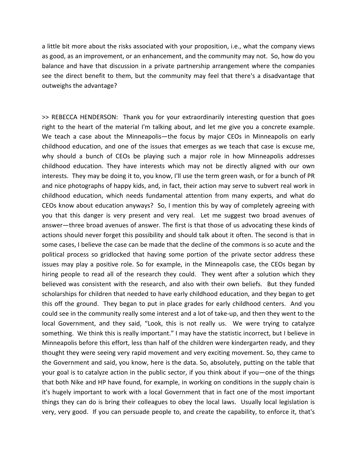a little bit more about the risks associated with your proposition, i.e., what the company views as good, as an improvement, or an enhancement, and the community may not. So, how do you balance and have that discussion in a private partnership arrangement where the companies see the direct benefit to them, but the community may feel that there's a disadvantage that outweighs the advantage?

>> REBECCA HENDERSON: Thank you for your extraordinarily interesting question that goes right to the heart of the material I'm talking about, and let me give you a concrete example. We teach a case about the Minneapolis—the focus by major CEOs in Minneapolis on early childhood education, and one of the issues that emerges as we teach that case is excuse me, why should a bunch of CEOs be playing such a major role in how Minneapolis addresses childhood education. They have interests which may not be directly aligned with our own interests. They may be doing it to, you know, I'll use the term green wash, or for a bunch of PR and nice photographs of happy kids, and, in fact, their action may serve to subvert real work in childhood education, which needs fundamental attention from many experts, and what do CEOs know about education anyways? So, I mention this by way of completely agreeing with you that this danger is very present and very real. Let me suggest two broad avenues of answer—three broad avenues of answer. The first is that those of us advocating these kinds of actions should never forget this possibility and should talk about it often. The second is that in some cases, I believe the case can be made that the decline of the commons is so acute and the political process so gridlocked that having some portion of the private sector address these issues may play a positive role. So for example, in the Minneapolis case, the CEOs began by hiring people to read all of the research they could. They went after a solution which they believed was consistent with the research, and also with their own beliefs. But they funded scholarships for children that needed to have early childhood education, and they began to get this off the ground. They began to put in place grades for early childhood centers. And you could see in the community really some interest and a lot of take‐up, and then they went to the local Government, and they said, "Look, this is not really us. We were trying to catalyze something. We think this is really important." I may have the statistic incorrect, but I believe in Minneapolis before this effort, less than half of the children were kindergarten ready, and they thought they were seeing very rapid movement and very exciting movement. So, they came to the Government and said, you know, here is the data. So, absolutely, putting on the table that your goal is to catalyze action in the public sector, if you think about if you—one of the things that both Nike and HP have found, for example, in working on conditions in the supply chain is it's hugely important to work with a local Government that in fact one of the most important things they can do is bring their colleagues to obey the local laws. Usually local legislation is very, very good. If you can persuade people to, and create the capability, to enforce it, that's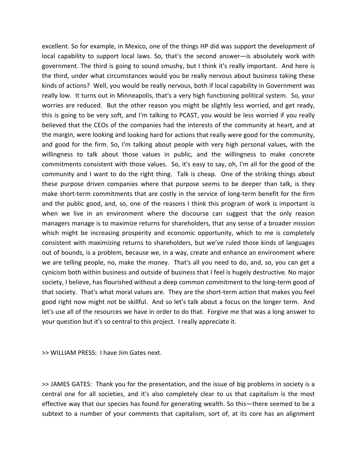excellent. So for example, in Mexico, one of the things HP did was support the development of local capability to support local laws. So, that's the second answer—is absolutely work with government. The third is going to sound smushy, but I think it's really important. And here is the third, under what circumstances would you be really nervous about business taking these kinds of actions? Well, you would be really nervous, both if local capability in Government was really low. It turns out in Minneapolis, that's a very high functioning political system. So, your worries are reduced. But the other reason you might be slightly less worried, and get ready, this is going to be very soft, and I'm talking to PCAST, you would be less worried if you really believed that the CEOs of the companies had the interests of the community at heart, and at the margin, were looking and looking hard for actions that really were good for the community, and good for the firm. So, I'm talking about people with very high personal values, with the willingness to talk about those values in public, and the willingness to make concrete commitments consistent with those values. So, it's easy to say, oh, I'm all for the good of the community and I want to do the right thing. Talk is cheap. One of the striking things about these purpose driven companies where that purpose seems to be deeper than talk, is they make short-term commitments that are costly in the service of long-term benefit for the firm and the public good, and, so, one of the reasons I think this program of work is important is when we live in an environment where the discourse can suggest that the only reason managers manage is to maximize returns for shareholders, that any sense of a broader mission which might be increasing prosperity and economic opportunity, which to me is completely consistent with maximizing returns to shareholders, but we've ruled those kinds of languages out of bounds, is a problem, because we, in a way, create and enhance an environment where we are telling people, no, make the money. That's all you need to do, and, so, you can get a cynicism both within business and outside of business that I feel is hugely destructive. No major society, I believe, has flourished without a deep common commitment to the long-term good of that society. That's what moral values are. They are the short‐term action that makes you feel good right now might not be skillful. And so let's talk about a focus on the longer term. And let's use all of the resources we have in order to do that. Forgive me that was a long answer to your question but it's so central to this project. I really appreciate it.

>> WILLIAM PRESS: I have Jim Gates next.

>> JAMES GATES: Thank you for the presentation, and the issue of big problems in society is a central one for all societies, and it's also completely clear to us that capitalism is the most effective way that our species has found for generating wealth. So this—there seemed to be a subtext to a number of your comments that capitalism, sort of, at its core has an alignment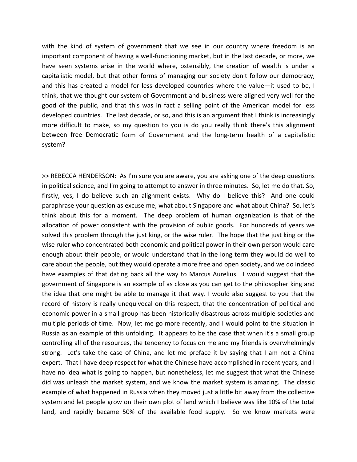with the kind of system of government that we see in our country where freedom is an important component of having a well‐functioning market, but in the last decade, or more, we have seen systems arise in the world where, ostensibly, the creation of wealth is under a capitalistic model, but that other forms of managing our society don't follow our democracy, and this has created a model for less developed countries where the value—it used to be, I think, that we thought our system of Government and business were aligned very well for the good of the public, and that this was in fact a selling point of the American model for less developed countries. The last decade, or so, and this is an argument that I think is increasingly more difficult to make, so my question to you is do you really think there's this alignment between free Democratic form of Government and the long-term health of a capitalistic system?

>> REBECCA HENDERSON: As I'm sure you are aware, you are asking one of the deep questions in political science, and I'm going to attempt to answer in three minutes. So, let me do that. So, firstly, yes, I do believe such an alignment exists. Why do I believe this? And one could paraphrase your question as excuse me, what about Singapore and what about China? So, let's think about this for a moment. The deep problem of human organization is that of the allocation of power consistent with the provision of public goods. For hundreds of years we solved this problem through the just king, or the wise ruler. The hope that the just king or the wise ruler who concentrated both economic and political power in their own person would care enough about their people, or would understand that in the long term they would do well to care about the people, but they would operate a more free and open society, and we do indeed have examples of that dating back all the way to Marcus Aurelius. I would suggest that the government of Singapore is an example of as close as you can get to the philosopher king and the idea that one might be able to manage it that way. I would also suggest to you that the record of history is really unequivocal on this respect, that the concentration of political and economic power in a small group has been historically disastrous across multiple societies and multiple periods of time. Now, let me go more recently, and I would point to the situation in Russia as an example of this unfolding. It appears to be the case that when it's a small group controlling all of the resources, the tendency to focus on me and my friends is overwhelmingly strong. Let's take the case of China, and let me preface it by saying that I am not a China expert. That I have deep respect for what the Chinese have accomplished in recent years, and I have no idea what is going to happen, but nonetheless, let me suggest that what the Chinese did was unleash the market system, and we know the market system is amazing. The classic example of what happened in Russia when they moved just a little bit away from the collective system and let people grow on their own plot of land which I believe was like 10% of the total land, and rapidly became 50% of the available food supply. So we know markets were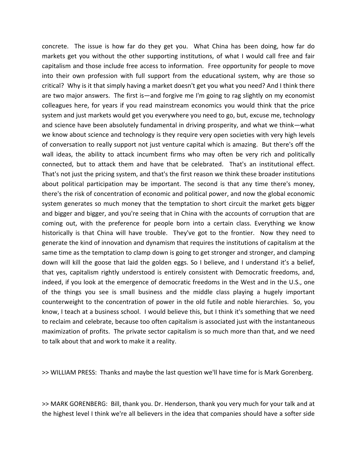concrete. The issue is how far do they get you. What China has been doing, how far do markets get you without the other supporting institutions, of what I would call free and fair capitalism and those include free access to information. Free opportunity for people to move into their own profession with full support from the educational system, why are those so critical? Why is it that simply having a market doesn't get you what you need? And I think there are two major answers. The first is—and forgive me I'm going to rag slightly on my economist colleagues here, for years if you read mainstream economics you would think that the price system and just markets would get you everywhere you need to go, but, excuse me, technology and science have been absolutely fundamental in driving prosperity, and what we think—what we know about science and technology is they require very open societies with very high levels of conversation to really support not just venture capital which is amazing. But there's off the wall ideas, the ability to attack incumbent firms who may often be very rich and politically connected, but to attack them and have that be celebrated. That's an institutional effect. That's not just the pricing system, and that's the first reason we think these broader institutions about political participation may be important. The second is that any time there's money, there's the risk of concentration of economic and political power, and now the global economic system generates so much money that the temptation to short circuit the market gets bigger and bigger and bigger, and you're seeing that in China with the accounts of corruption that are coming out, with the preference for people born into a certain class. Everything we know historically is that China will have trouble. They've got to the frontier. Now they need to generate the kind of innovation and dynamism that requires the institutions of capitalism at the same time as the temptation to clamp down is going to get stronger and stronger, and clamping down will kill the goose that laid the golden eggs. So I believe, and I understand it's a belief, that yes, capitalism rightly understood is entirely consistent with Democratic freedoms, and, indeed, if you look at the emergence of democratic freedoms in the West and in the U.S., one of the things you see is small business and the middle class playing a hugely important counterweight to the concentration of power in the old futile and noble hierarchies. So, you know, I teach at a business school. I would believe this, but I think it's something that we need to reclaim and celebrate, because too often capitalism is associated just with the instantaneous maximization of profits. The private sector capitalism is so much more than that, and we need to talk about that and work to make it a reality.

>> WILLIAM PRESS: Thanks and maybe the last question we'll have time for is Mark Gorenberg.

>> MARK GORENBERG: Bill, thank you. Dr. Henderson, thank you very much for your talk and at the highest level I think we're all believers in the idea that companies should have a softer side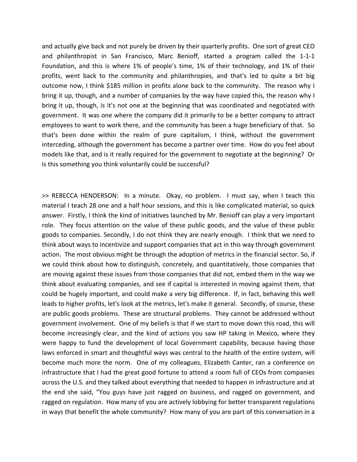and actually give back and not purely be driven by their quarterly profits. One sort of great CEO and philanthropist in San Francisco, Marc Benioff, started a program called the 1-1-1 Foundation, and this is where 1% of people's time, 1% of their technology, and 1% of their profits, went back to the community and philanthropies, and that's led to quite a bit big outcome now, I think \$185 million in profits alone back to the community. The reason why I bring it up, though, and a number of companies by the way have copied this, the reason why I bring it up, though, is it's not one at the beginning that was coordinated and negotiated with government. It was one where the company did it primarily to be a better company to attract employees to want to work there, and the community has been a huge beneficiary of that. So that's been done within the realm of pure capitalism, I think, without the government interceding, although the government has become a partner over time. How do you feel about models like that, and is it really required for the government to negotiate at the beginning? Or is this something you think voluntarily could be successful?

>> REBECCA HENDERSON: In a minute. Okay, no problem. I must say, when I teach this material I teach 28 one and a half hour sessions, and this is like complicated material, so quick answer. Firstly, I think the kind of initiatives launched by Mr. Benioff can play a very important role. They focus attention on the value of these public goods, and the value of these public goods to companies. Secondly, I do not think they are nearly enough. I think that we need to think about ways to incentivize and support companies that act in this way through government action. The most obvious might be through the adoption of metrics in the financial sector. So, if we could think about how to distinguish, concretely, and quantitatively, those companies that are moving against these issues from those companies that did not, embed them in the way we think about evaluating companies, and see if capital is interested in moving against them, that could be hugely important, and could make a very big difference. If, in fact, behaving this well leads to higher profits, let's look at the metrics, let's make it general. Secondly, of course, these are public goods problems. These are structural problems. They cannot be addressed without government involvement. One of my beliefs is that if we start to move down this road, this will become increasingly clear, and the kind of actions you saw HP taking in Mexico, where they were happy to fund the development of local Government capability, because having those laws enforced in smart and thoughtful ways was central to the health of the entire system, will become much more the norm. One of my colleagues, Elizabeth Canter, ran a conference on infrastructure that I had the great good fortune to attend a room full of CEOs from companies across the U.S. and they talked about everything that needed to happen in infrastructure and at the end she said, "You guys have just ragged on business, and ragged on government, and ragged on regulation. How many of you are actively lobbying for better transparent regulations in ways that benefit the whole community? How many of you are part of this conversation in a